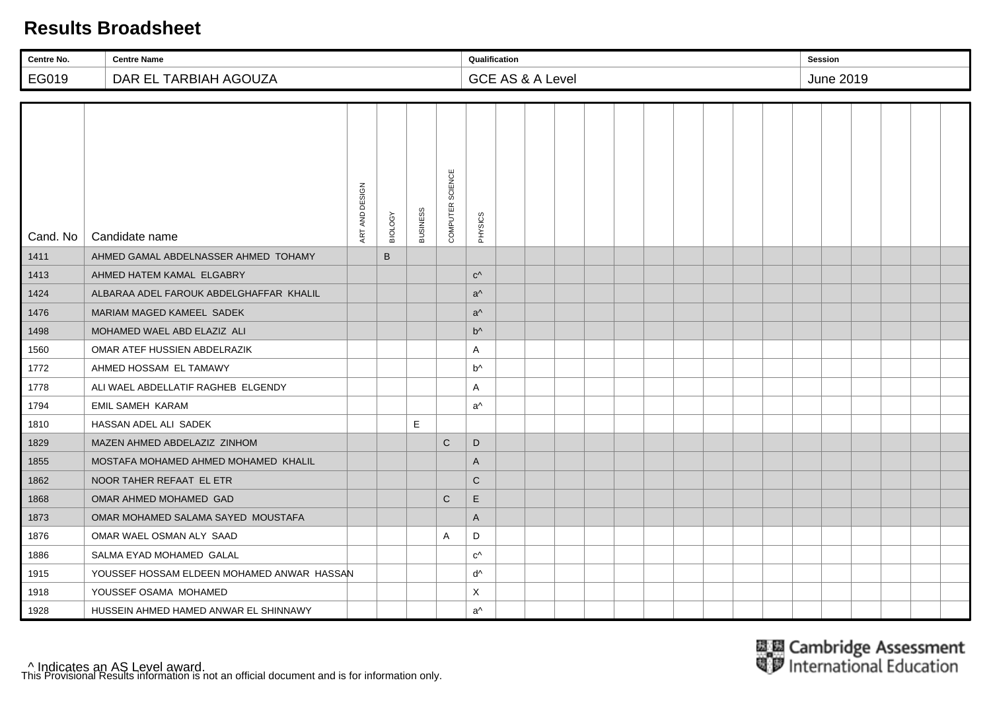| Centre No. | <b>Centre Name</b>                         |                |         |                 |                  | Qualification  |                             |  |  |  |  | <b>Session</b> |           |  |  |
|------------|--------------------------------------------|----------------|---------|-----------------|------------------|----------------|-----------------------------|--|--|--|--|----------------|-----------|--|--|
| EG019      | DAR EL TARBIAH AGOUZA                      |                |         |                 |                  |                | <b>GCE AS &amp; A Level</b> |  |  |  |  |                | June 2019 |  |  |
|            |                                            |                |         |                 |                  |                |                             |  |  |  |  |                |           |  |  |
| Cand. No   | Candidate name                             | ART AND DESIGN | BIOLOGY | <b>BUSINESS</b> | COMPUTER SCIENCE | PHYSICS        |                             |  |  |  |  |                |           |  |  |
| 1411       | AHMED GAMAL ABDELNASSER AHMED TOHAMY       |                | B       |                 |                  |                |                             |  |  |  |  |                |           |  |  |
| 1413       | AHMED HATEM KAMAL ELGABRY                  |                |         |                 |                  | $C^{\wedge}$   |                             |  |  |  |  |                |           |  |  |
| 1424       | ALBARAA ADEL FAROUK ABDELGHAFFAR KHALIL    |                |         |                 |                  | $a^{\wedge}$   |                             |  |  |  |  |                |           |  |  |
| 1476       | MARIAM MAGED KAMEEL SADEK                  |                |         |                 |                  | $a^{\wedge}$   |                             |  |  |  |  |                |           |  |  |
| 1498       | MOHAMED WAEL ABD ELAZIZ ALI                |                |         |                 |                  | $b^{\Lambda}$  |                             |  |  |  |  |                |           |  |  |
| 1560       | OMAR ATEF HUSSIEN ABDELRAZIK               |                |         |                 |                  | Α              |                             |  |  |  |  |                |           |  |  |
| 1772       | AHMED HOSSAM EL TAMAWY                     |                |         |                 |                  | b <sup>^</sup> |                             |  |  |  |  |                |           |  |  |
| 1778       | ALI WAEL ABDELLATIF RAGHEB ELGENDY         |                |         |                 |                  | Α              |                             |  |  |  |  |                |           |  |  |
| 1794       | <b>EMIL SAMEH KARAM</b>                    |                |         |                 |                  | a <sup>^</sup> |                             |  |  |  |  |                |           |  |  |
| 1810       | HASSAN ADEL ALI SADEK                      |                |         | Ε               |                  |                |                             |  |  |  |  |                |           |  |  |
| 1829       | MAZEN AHMED ABDELAZIZ ZINHOM               |                |         |                 | $\mathbf C$      | D              |                             |  |  |  |  |                |           |  |  |
| 1855       | MOSTAFA MOHAMED AHMED MOHAMED KHALIL       |                |         |                 |                  | $\mathsf{A}$   |                             |  |  |  |  |                |           |  |  |
| 1862       | NOOR TAHER REFAAT EL ETR                   |                |         |                 |                  | $\mathsf{C}$   |                             |  |  |  |  |                |           |  |  |
| 1868       | OMAR AHMED MOHAMED GAD                     |                |         |                 | $\mathsf{C}$     | $\mathsf E$    |                             |  |  |  |  |                |           |  |  |
| 1873       | OMAR MOHAMED SALAMA SAYED MOUSTAFA         |                |         |                 |                  | $\mathsf{A}$   |                             |  |  |  |  |                |           |  |  |
| 1876       | OMAR WAEL OSMAN ALY SAAD                   |                |         |                 | A                | D              |                             |  |  |  |  |                |           |  |  |
| 1886       | SALMA EYAD MOHAMED GALAL                   |                |         |                 |                  | $C^{\wedge}$   |                             |  |  |  |  |                |           |  |  |
| 1915       | YOUSSEF HOSSAM ELDEEN MOHAMED ANWAR HASSAN |                |         |                 |                  | ďv             |                             |  |  |  |  |                |           |  |  |
| 1918       | YOUSSEF OSAMA MOHAMED                      |                |         |                 |                  | Χ              |                             |  |  |  |  |                |           |  |  |
| 1928       | HUSSEIN AHMED HAMED ANWAR EL SHINNAWY      |                |         |                 |                  | a <sup>^</sup> |                             |  |  |  |  |                |           |  |  |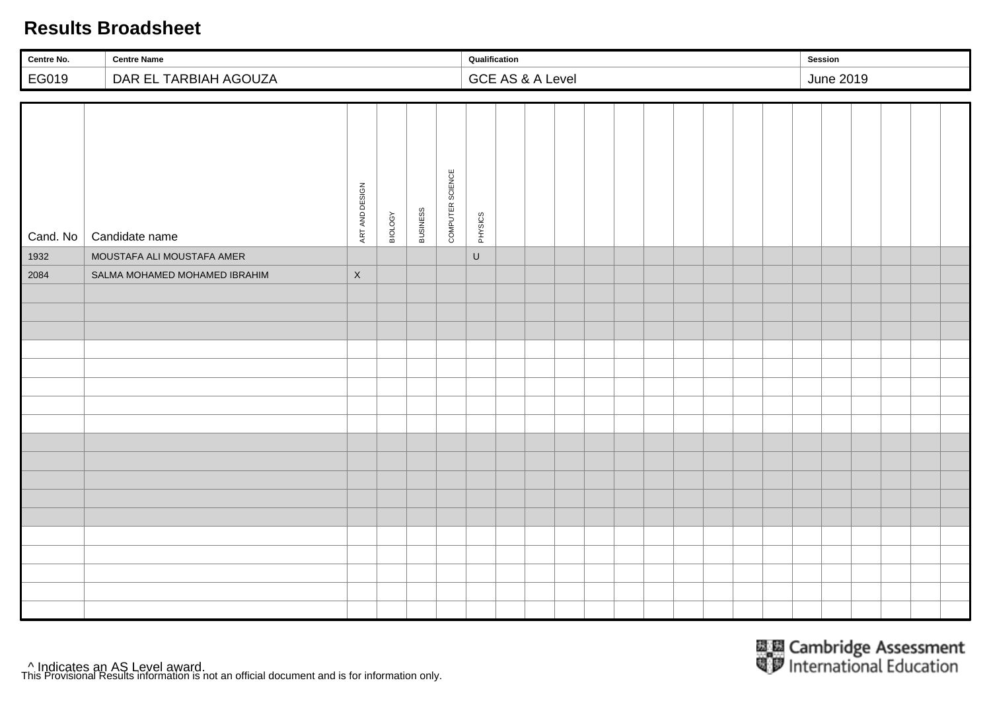| Centre No. | <b>Centre Name</b>            |                |         |          |                  | Qualification |                  |  |  |  |  | Session |                  |  |  |
|------------|-------------------------------|----------------|---------|----------|------------------|---------------|------------------|--|--|--|--|---------|------------------|--|--|
| EG019      | DAR EL TARBIAH AGOUZA         |                |         |          |                  |               | GCE AS & A Level |  |  |  |  |         | <b>June 2019</b> |  |  |
|            |                               |                |         |          |                  |               |                  |  |  |  |  |         |                  |  |  |
| Cand. No   | Candidate name                | ART AND DESIGN | BIOLOGY | BUSINESS | COMPUTER SCIENCE | PHYSICS       |                  |  |  |  |  |         |                  |  |  |
| 1932       | MOUSTAFA ALI MOUSTAFA AMER    |                |         |          |                  | $\sf U$       |                  |  |  |  |  |         |                  |  |  |
| 2084       | SALMA MOHAMED MOHAMED IBRAHIM | $\mathsf X$    |         |          |                  |               |                  |  |  |  |  |         |                  |  |  |
|            |                               |                |         |          |                  |               |                  |  |  |  |  |         |                  |  |  |
|            |                               |                |         |          |                  |               |                  |  |  |  |  |         |                  |  |  |
|            |                               |                |         |          |                  |               |                  |  |  |  |  |         |                  |  |  |
|            |                               |                |         |          |                  |               |                  |  |  |  |  |         |                  |  |  |
|            |                               |                |         |          |                  |               |                  |  |  |  |  |         |                  |  |  |
|            |                               |                |         |          |                  |               |                  |  |  |  |  |         |                  |  |  |
|            |                               |                |         |          |                  |               |                  |  |  |  |  |         |                  |  |  |
|            |                               |                |         |          |                  |               |                  |  |  |  |  |         |                  |  |  |
|            |                               |                |         |          |                  |               |                  |  |  |  |  |         |                  |  |  |
|            |                               |                |         |          |                  |               |                  |  |  |  |  |         |                  |  |  |
|            |                               |                |         |          |                  |               |                  |  |  |  |  |         |                  |  |  |
|            |                               |                |         |          |                  |               |                  |  |  |  |  |         |                  |  |  |
|            |                               |                |         |          |                  |               |                  |  |  |  |  |         |                  |  |  |
|            |                               |                |         |          |                  |               |                  |  |  |  |  |         |                  |  |  |
|            |                               |                |         |          |                  |               |                  |  |  |  |  |         |                  |  |  |
|            |                               |                |         |          |                  |               |                  |  |  |  |  |         |                  |  |  |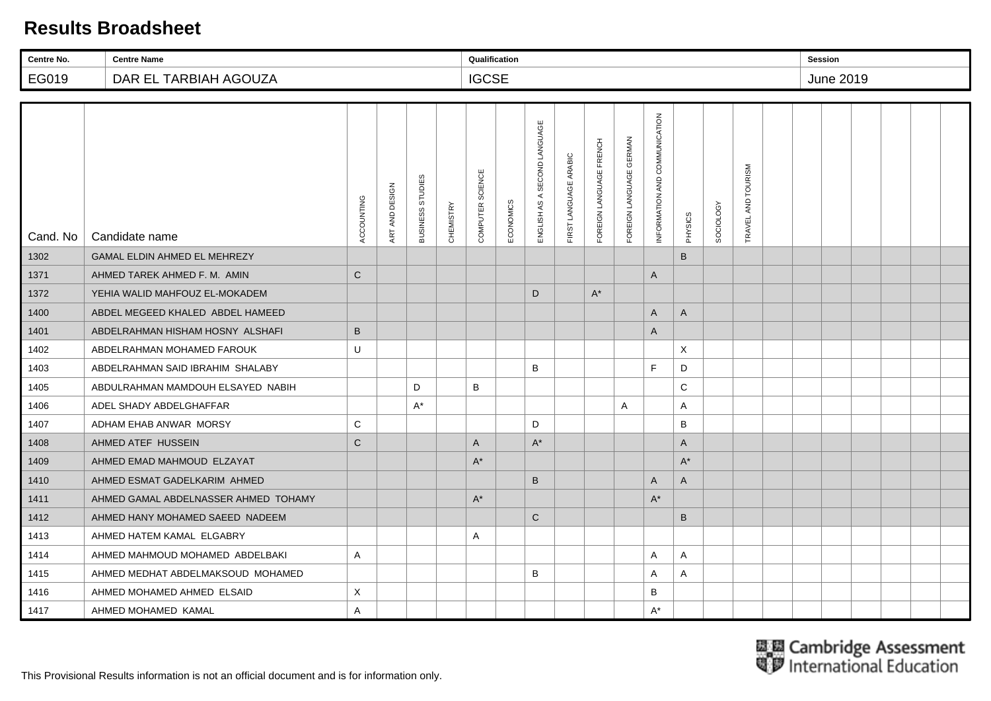| Centre No. | <b>Centre Name</b>                   |              |                |                  |                  | Qualification    |           |                                 |                       |                         |                         |                               |              |           |                        | <b>Session</b> |                  |  |  |
|------------|--------------------------------------|--------------|----------------|------------------|------------------|------------------|-----------|---------------------------------|-----------------------|-------------------------|-------------------------|-------------------------------|--------------|-----------|------------------------|----------------|------------------|--|--|
| EG019      | DAR EL TARBIAH AGOUZA                |              |                |                  |                  | <b>IGCSE</b>     |           |                                 |                       |                         |                         |                               |              |           |                        |                | <b>June 2019</b> |  |  |
|            |                                      |              |                |                  |                  |                  |           |                                 |                       |                         |                         |                               |              |           |                        |                |                  |  |  |
| Cand. No   | Candidate name                       | ACCOUNTING   | ART AND DESIGN | BUSINESS STUDIES | <b>CHEMISTRY</b> | COMPUTER SCIENCE | ECONOMICS | SECOND LANGUAGE<br>ENGLISH AS A | FIRST LANGUAGE ARABIC | FOREIGN LANGUAGE FRENCH | FOREIGN LANGUAGE GERMAN | INFORMATION AND COMMUNICATION | PHYSICS      | SOCIOLOGY | AND TOURISM<br>TRAVEL. |                |                  |  |  |
| 1302       | <b>GAMAL ELDIN AHMED EL MEHREZY</b>  |              |                |                  |                  |                  |           |                                 |                       |                         |                         |                               | B            |           |                        |                |                  |  |  |
| 1371       | AHMED TAREK AHMED F. M. AMIN         | $\mathsf{C}$ |                |                  |                  |                  |           |                                 |                       |                         |                         | A                             |              |           |                        |                |                  |  |  |
| 1372       | YEHIA WALID MAHFOUZ EL-MOKADEM       |              |                |                  |                  |                  |           | D                               |                       | $A^*$                   |                         |                               |              |           |                        |                |                  |  |  |
| 1400       | ABDEL MEGEED KHALED ABDEL HAMEED     |              |                |                  |                  |                  |           |                                 |                       |                         |                         | A                             | $\mathsf{A}$ |           |                        |                |                  |  |  |
| 1401       | ABDELRAHMAN HISHAM HOSNY ALSHAFI     | $\mathsf B$  |                |                  |                  |                  |           |                                 |                       |                         |                         | A                             |              |           |                        |                |                  |  |  |
| 1402       | ABDELRAHMAN MOHAMED FAROUK           | U            |                |                  |                  |                  |           |                                 |                       |                         |                         |                               | X            |           |                        |                |                  |  |  |
| 1403       | ABDELRAHMAN SAID IBRAHIM SHALABY     |              |                |                  |                  |                  |           | B                               |                       |                         |                         | F                             | D            |           |                        |                |                  |  |  |
| 1405       | ABDULRAHMAN MAMDOUH ELSAYED NABIH    |              |                | D                |                  | B                |           |                                 |                       |                         |                         |                               | C            |           |                        |                |                  |  |  |
| 1406       | ADEL SHADY ABDELGHAFFAR              |              |                | $A^*$            |                  |                  |           |                                 |                       |                         | A                       |                               | A            |           |                        |                |                  |  |  |
| 1407       | ADHAM EHAB ANWAR MORSY               | $\mathsf{C}$ |                |                  |                  |                  |           | D                               |                       |                         |                         |                               | B            |           |                        |                |                  |  |  |
| 1408       | AHMED ATEF HUSSEIN                   | $\mathsf{C}$ |                |                  |                  | A                |           | $\mathsf{A}^\star$              |                       |                         |                         |                               | A            |           |                        |                |                  |  |  |
| 1409       | AHMED EMAD MAHMOUD ELZAYAT           |              |                |                  |                  | $A^*$            |           |                                 |                       |                         |                         |                               | $A^*$        |           |                        |                |                  |  |  |
| 1410       | AHMED ESMAT GADELKARIM AHMED         |              |                |                  |                  |                  |           | B                               |                       |                         |                         | A                             | A            |           |                        |                |                  |  |  |
| 1411       | AHMED GAMAL ABDELNASSER AHMED TOHAMY |              |                |                  |                  | $A^*$            |           |                                 |                       |                         |                         | $A^*$                         |              |           |                        |                |                  |  |  |
| 1412       | AHMED HANY MOHAMED SAEED NADEEM      |              |                |                  |                  |                  |           | $\mathbf C$                     |                       |                         |                         |                               | $\sf B$      |           |                        |                |                  |  |  |
| 1413       | AHMED HATEM KAMAL ELGABRY            |              |                |                  |                  | Α                |           |                                 |                       |                         |                         |                               |              |           |                        |                |                  |  |  |
| 1414       | AHMED MAHMOUD MOHAMED ABDELBAKI      | A            |                |                  |                  |                  |           |                                 |                       |                         |                         | Α                             | A            |           |                        |                |                  |  |  |
| 1415       | AHMED MEDHAT ABDELMAKSOUD MOHAMED    |              |                |                  |                  |                  |           | B                               |                       |                         |                         | Α                             | A            |           |                        |                |                  |  |  |
| 1416       | AHMED MOHAMED AHMED ELSAID           | X            |                |                  |                  |                  |           |                                 |                       |                         |                         | B                             |              |           |                        |                |                  |  |  |
| 1417       | AHMED MOHAMED KAMAL                  | A            |                |                  |                  |                  |           |                                 |                       |                         |                         | $A^*$                         |              |           |                        |                |                  |  |  |

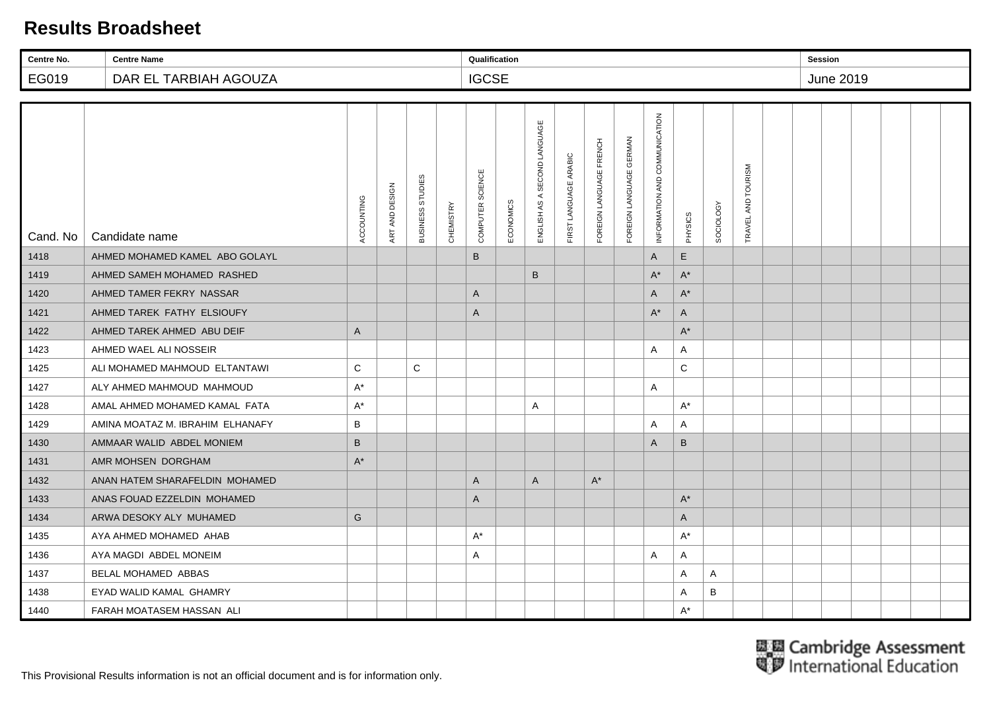| Centre No. | <b>Centre Name</b>               |              |                |                  |                  | Qualification    |           |                              |                       |                         |                         |                               |                      |           |                       | <b>Session</b> |           |  |  |
|------------|----------------------------------|--------------|----------------|------------------|------------------|------------------|-----------|------------------------------|-----------------------|-------------------------|-------------------------|-------------------------------|----------------------|-----------|-----------------------|----------------|-----------|--|--|
| EG019      | DAR EL TARBIAH AGOUZA            |              |                |                  |                  | <b>IGCSE</b>     |           |                              |                       |                         |                         |                               |                      |           |                       |                | June 2019 |  |  |
|            |                                  |              |                |                  |                  |                  |           |                              |                       |                         |                         |                               |                      |           |                       |                |           |  |  |
| Cand. No   | Candidate name                   | ACCOUNTING   | ART AND DESIGN | BUSINESS STUDIES | <b>CHEMISTRY</b> | COMPUTER SCIENCE | ECONOMICS | ENGLISH AS A SECOND LANGUAGE | FIRST LANGUAGE ARABIC | FOREIGN LANGUAGE FRENCH | FOREIGN LANGUAGE GERMAN | INFORMATION AND COMMUNICATION | PHYSICS              | SOCIOLOGY | AND TOURISM<br>TRAVEL |                |           |  |  |
| 1418       | AHMED MOHAMED KAMEL ABO GOLAYL   |              |                |                  |                  | B                |           |                              |                       |                         |                         | A                             | E                    |           |                       |                |           |  |  |
| 1419       | AHMED SAMEH MOHAMED RASHED       |              |                |                  |                  |                  |           | B                            |                       |                         |                         | $\mathsf{A}^{\star}$          | $A^*$                |           |                       |                |           |  |  |
| 1420       | AHMED TAMER FEKRY NASSAR         |              |                |                  |                  | A                |           |                              |                       |                         |                         | $\overline{A}$                | $\mathsf{A}^{\star}$ |           |                       |                |           |  |  |
| 1421       | AHMED TAREK FATHY ELSIOUFY       |              |                |                  |                  | A                |           |                              |                       |                         |                         | $A^*$                         | $\mathsf{A}$         |           |                       |                |           |  |  |
| 1422       | AHMED TAREK AHMED ABU DEIF       | $\mathsf{A}$ |                |                  |                  |                  |           |                              |                       |                         |                         |                               | $\mathsf{A}^{\star}$ |           |                       |                |           |  |  |
| 1423       | AHMED WAEL ALI NOSSEIR           |              |                |                  |                  |                  |           |                              |                       |                         |                         | $\overline{A}$                | A                    |           |                       |                |           |  |  |
| 1425       | ALI MOHAMED MAHMOUD ELTANTAWI    | $\mathsf{C}$ |                | С                |                  |                  |           |                              |                       |                         |                         |                               | C                    |           |                       |                |           |  |  |
| 1427       | ALY AHMED MAHMOUD MAHMOUD        | $A^*$        |                |                  |                  |                  |           |                              |                       |                         |                         | Α                             |                      |           |                       |                |           |  |  |
| 1428       | AMAL AHMED MOHAMED KAMAL FATA    | $A^*$        |                |                  |                  |                  |           | A                            |                       |                         |                         |                               | $A^*$                |           |                       |                |           |  |  |
| 1429       | AMINA MOATAZ M. IBRAHIM ELHANAFY | B            |                |                  |                  |                  |           |                              |                       |                         |                         | A                             | A                    |           |                       |                |           |  |  |
| 1430       | AMMAAR WALID ABDEL MONIEM        | $\mathsf B$  |                |                  |                  |                  |           |                              |                       |                         |                         | A                             | B                    |           |                       |                |           |  |  |
| 1431       | AMR MOHSEN DORGHAM               | $A^*$        |                |                  |                  |                  |           |                              |                       |                         |                         |                               |                      |           |                       |                |           |  |  |
| 1432       | ANAN HATEM SHARAFELDIN MOHAMED   |              |                |                  |                  | A                |           | $\mathsf{A}$                 |                       | $A^*$                   |                         |                               |                      |           |                       |                |           |  |  |
| 1433       | ANAS FOUAD EZZELDIN MOHAMED      |              |                |                  |                  | A                |           |                              |                       |                         |                         |                               | $A^*$                |           |                       |                |           |  |  |
| 1434       | ARWA DESOKY ALY MUHAMED          | G            |                |                  |                  |                  |           |                              |                       |                         |                         |                               | A                    |           |                       |                |           |  |  |
| 1435       | AYA AHMED MOHAMED AHAB           |              |                |                  |                  | $A^*$            |           |                              |                       |                         |                         |                               | $A^*$                |           |                       |                |           |  |  |
| 1436       | AYA MAGDI ABDEL MONEIM           |              |                |                  |                  | Α                |           |                              |                       |                         |                         | A                             | A                    |           |                       |                |           |  |  |
| 1437       | <b>BELAL MOHAMED ABBAS</b>       |              |                |                  |                  |                  |           |                              |                       |                         |                         |                               | A                    | A         |                       |                |           |  |  |
| 1438       | EYAD WALID KAMAL GHAMRY          |              |                |                  |                  |                  |           |                              |                       |                         |                         |                               | A                    | B         |                       |                |           |  |  |
| 1440       | FARAH MOATASEM HASSAN ALI        |              |                |                  |                  |                  |           |                              |                       |                         |                         |                               | $A^*$                |           |                       |                |           |  |  |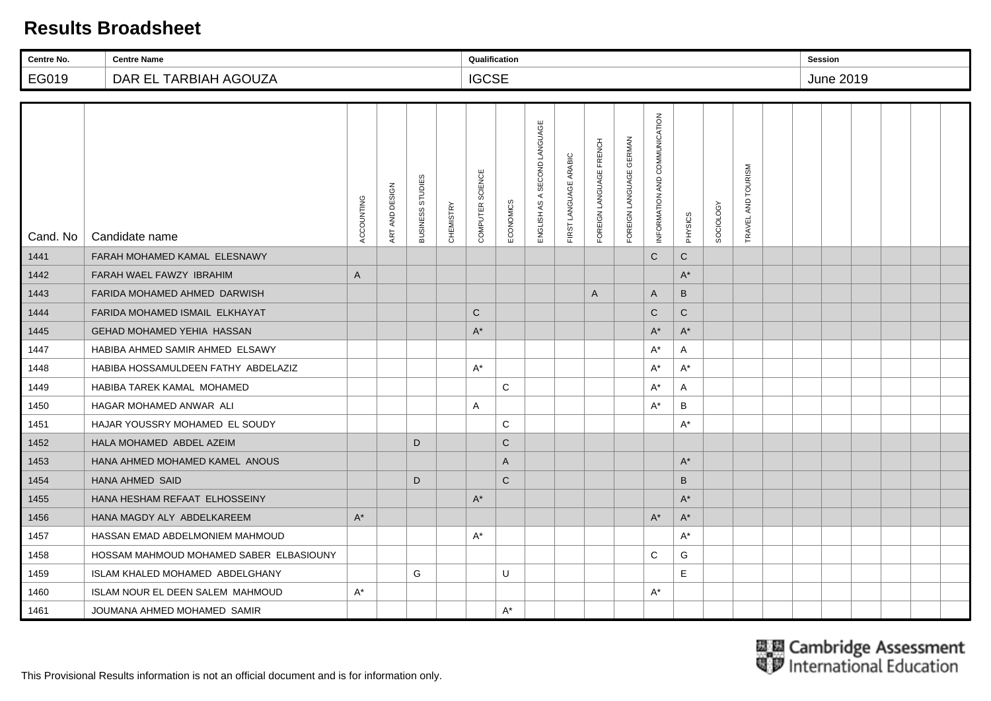| Centre No. | <b>Centre Name</b>                      |              |                |                  |                  | Qualification    |              |                                 |                       |                         |                         |                               |                      |                  |                        | <b>Session</b> |           |  |  |
|------------|-----------------------------------------|--------------|----------------|------------------|------------------|------------------|--------------|---------------------------------|-----------------------|-------------------------|-------------------------|-------------------------------|----------------------|------------------|------------------------|----------------|-----------|--|--|
| EG019      | DAR EL TARBIAH AGOUZA                   |              |                |                  |                  | <b>IGCSE</b>     |              |                                 |                       |                         |                         |                               |                      |                  |                        |                | June 2019 |  |  |
|            |                                         |              |                |                  |                  |                  |              |                                 |                       |                         |                         |                               |                      |                  |                        |                |           |  |  |
| Cand. No   | Candidate name                          | ACCOUNTING   | ART AND DESIGN | BUSINESS STUDIES | <b>CHEMISTRY</b> | COMPUTER SCIENCE | ECONOMICS    | SECOND LANGUAGE<br>ENGLISH AS A | FIRST LANGUAGE ARABIC | FOREIGN LANGUAGE FRENCH | FOREIGN LANGUAGE GERMAN | INFORMATION AND COMMUNICATION | PHYSICS              | <b>SOCIOLOGY</b> | AND TOURISM<br>TRAVEL, |                |           |  |  |
| 1441       | FARAH MOHAMED KAMAL ELESNAWY            |              |                |                  |                  |                  |              |                                 |                       |                         |                         | $\mathsf{C}$                  | $\mathbf C$          |                  |                        |                |           |  |  |
| 1442       | FARAH WAEL FAWZY IBRAHIM                | $\mathsf{A}$ |                |                  |                  |                  |              |                                 |                       |                         |                         |                               | $A^*$                |                  |                        |                |           |  |  |
| 1443       | FARIDA MOHAMED AHMED DARWISH            |              |                |                  |                  |                  |              |                                 |                       | $\mathsf{A}$            |                         | A                             | B                    |                  |                        |                |           |  |  |
| 1444       | FARIDA MOHAMED ISMAIL ELKHAYAT          |              |                |                  |                  | $\mathsf{C}$     |              |                                 |                       |                         |                         | $\mathsf{C}$                  | $\mathbf C$          |                  |                        |                |           |  |  |
| 1445       | <b>GEHAD MOHAMED YEHIA HASSAN</b>       |              |                |                  |                  | $A^*$            |              |                                 |                       |                         |                         | $A^*$                         | $\mathsf{A}^{\star}$ |                  |                        |                |           |  |  |
| 1447       | HABIBA AHMED SAMIR AHMED ELSAWY         |              |                |                  |                  |                  |              |                                 |                       |                         |                         | $A^*$                         | A                    |                  |                        |                |           |  |  |
| 1448       | HABIBA HOSSAMULDEEN FATHY ABDELAZIZ     |              |                |                  |                  | $A^*$            |              |                                 |                       |                         |                         | $A^*$                         | $A^*$                |                  |                        |                |           |  |  |
| 1449       | HABIBA TAREK KAMAL MOHAMED              |              |                |                  |                  |                  | C            |                                 |                       |                         |                         | A*                            | A                    |                  |                        |                |           |  |  |
| 1450       | HAGAR MOHAMED ANWAR ALI                 |              |                |                  |                  | Α                |              |                                 |                       |                         |                         | $A^*$                         | B                    |                  |                        |                |           |  |  |
| 1451       | HAJAR YOUSSRY MOHAMED EL SOUDY          |              |                |                  |                  |                  | C            |                                 |                       |                         |                         |                               | $A^*$                |                  |                        |                |           |  |  |
| 1452       | HALA MOHAMED ABDEL AZEIM                |              |                | D                |                  |                  | $\mathsf{C}$ |                                 |                       |                         |                         |                               |                      |                  |                        |                |           |  |  |
| 1453       | HANA AHMED MOHAMED KAMEL ANOUS          |              |                |                  |                  |                  | A            |                                 |                       |                         |                         |                               | $A^*$                |                  |                        |                |           |  |  |
| 1454       | <b>HANA AHMED SAID</b>                  |              |                | D                |                  |                  | $\mathsf{C}$ |                                 |                       |                         |                         |                               | B                    |                  |                        |                |           |  |  |
| 1455       | HANA HESHAM REFAAT ELHOSSEINY           |              |                |                  |                  | $A^*$            |              |                                 |                       |                         |                         |                               | $A^*$                |                  |                        |                |           |  |  |
| 1456       | HANA MAGDY ALY ABDELKAREEM              | $A^*$        |                |                  |                  |                  |              |                                 |                       |                         |                         | $A^*$                         | $\mathsf{A}^{\star}$ |                  |                        |                |           |  |  |
| 1457       | HASSAN EMAD ABDELMONIEM MAHMOUD         |              |                |                  |                  | $A^*$            |              |                                 |                       |                         |                         |                               | $A^*$                |                  |                        |                |           |  |  |
| 1458       | HOSSAM MAHMOUD MOHAMED SABER ELBASIOUNY |              |                |                  |                  |                  |              |                                 |                       |                         |                         | C                             | G                    |                  |                        |                |           |  |  |
| 1459       | ISLAM KHALED MOHAMED ABDELGHANY         |              |                | G                |                  |                  | U            |                                 |                       |                         |                         |                               | E                    |                  |                        |                |           |  |  |
| 1460       | ISLAM NOUR EL DEEN SALEM MAHMOUD        | $A^*$        |                |                  |                  |                  |              |                                 |                       |                         |                         | $A^*$                         |                      |                  |                        |                |           |  |  |
| 1461       | JOUMANA AHMED MOHAMED SAMIR             |              |                |                  |                  |                  | $A^*$        |                                 |                       |                         |                         |                               |                      |                  |                        |                |           |  |  |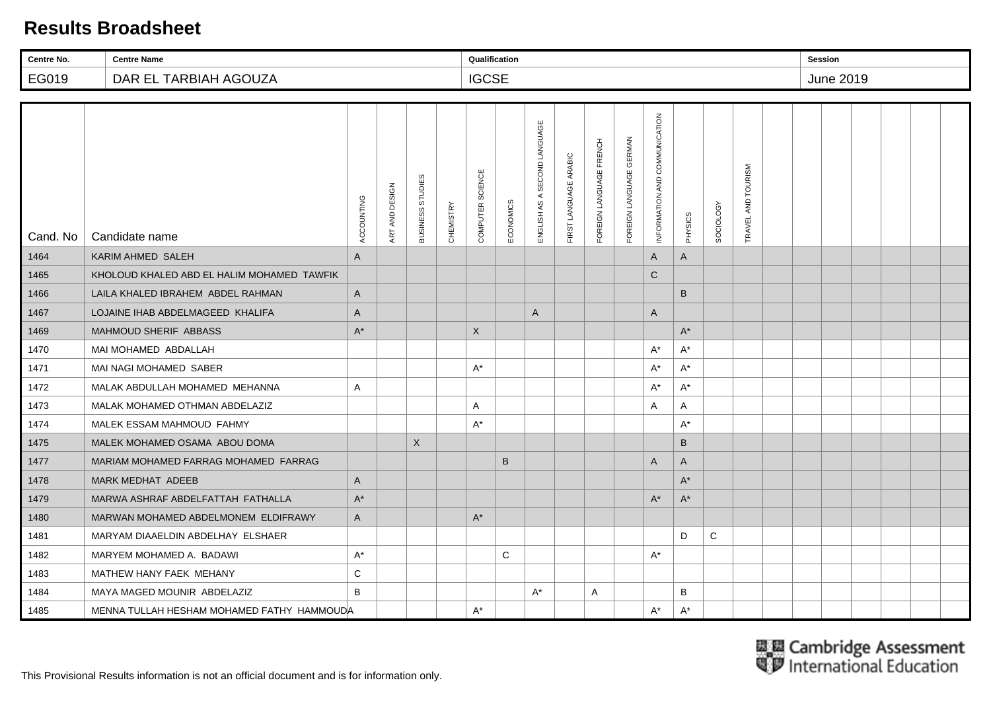| Centre No. | <b>Centre Name</b>                         |              |                |                                   |                  | Qualification             |           |                                 |                       |                         |                         |                               |         |                  |                        | <b>Session</b> |                  |  |  |
|------------|--------------------------------------------|--------------|----------------|-----------------------------------|------------------|---------------------------|-----------|---------------------------------|-----------------------|-------------------------|-------------------------|-------------------------------|---------|------------------|------------------------|----------------|------------------|--|--|
| EG019      | DAR EL TARBIAH AGOUZA                      |              |                |                                   |                  | <b>IGCSE</b>              |           |                                 |                       |                         |                         |                               |         |                  |                        |                | <b>June 2019</b> |  |  |
|            |                                            |              |                |                                   |                  |                           |           |                                 |                       |                         |                         |                               |         |                  |                        |                |                  |  |  |
| Cand. No   | Candidate name                             | ACCOUNTING   | ART AND DESIGN | <b>STUDIES</b><br><b>BUSINESS</b> | <b>CHEMISTRY</b> | COMPUTER SCIENCE          | ECONOMICS | SECOND LANGUAGE<br>ENGLISH AS A | FIRST LANGUAGE ARABIC | FOREIGN LANGUAGE FRENCH | FOREIGN LANGUAGE GERMAN | INFORMATION AND COMMUNICATION | PHYSICS | <b>SOCIOLOGY</b> | AND TOURISM<br>TRAVEL, |                |                  |  |  |
| 1464       | <b>KARIM AHMED SALEH</b>                   | A            |                |                                   |                  |                           |           |                                 |                       |                         |                         | A                             | A       |                  |                        |                |                  |  |  |
| 1465       | KHOLOUD KHALED ABD EL HALIM MOHAMED TAWFIK |              |                |                                   |                  |                           |           |                                 |                       |                         |                         | $\mathsf C$                   |         |                  |                        |                |                  |  |  |
| 1466       | LAILA KHALED IBRAHEM ABDEL RAHMAN          | $\mathsf{A}$ |                |                                   |                  |                           |           |                                 |                       |                         |                         |                               | B       |                  |                        |                |                  |  |  |
| 1467       | LOJAINE IHAB ABDELMAGEED KHALIFA           | $\mathsf{A}$ |                |                                   |                  |                           |           | A                               |                       |                         |                         | $\overline{A}$                |         |                  |                        |                |                  |  |  |
| 1469       | MAHMOUD SHERIF ABBASS                      | $A^*$        |                |                                   |                  | $\boldsymbol{\mathsf{X}}$ |           |                                 |                       |                         |                         |                               | $A^*$   |                  |                        |                |                  |  |  |
| 1470       | MAI MOHAMED ABDALLAH                       |              |                |                                   |                  |                           |           |                                 |                       |                         |                         | $A^*$                         | $A^*$   |                  |                        |                |                  |  |  |
| 1471       | MAI NAGI MOHAMED SABER                     |              |                |                                   |                  | $A^*$                     |           |                                 |                       |                         |                         | $A^*$                         | $A^*$   |                  |                        |                |                  |  |  |
| 1472       | MALAK ABDULLAH MOHAMED MEHANNA             | A            |                |                                   |                  |                           |           |                                 |                       |                         |                         | $A^*$                         | $A^*$   |                  |                        |                |                  |  |  |
| 1473       | MALAK MOHAMED OTHMAN ABDELAZIZ             |              |                |                                   |                  | Α                         |           |                                 |                       |                         |                         | Α                             | A       |                  |                        |                |                  |  |  |
| 1474       | MALEK ESSAM MAHMOUD FAHMY                  |              |                |                                   |                  | $A^*$                     |           |                                 |                       |                         |                         |                               | $A^*$   |                  |                        |                |                  |  |  |
| 1475       | MALEK MOHAMED OSAMA ABOU DOMA              |              |                | X                                 |                  |                           |           |                                 |                       |                         |                         |                               | B       |                  |                        |                |                  |  |  |
| 1477       | MARIAM MOHAMED FARRAG MOHAMED FARRAG       |              |                |                                   |                  |                           | B         |                                 |                       |                         |                         | A                             | A       |                  |                        |                |                  |  |  |
| 1478       | <b>MARK MEDHAT ADEEB</b>                   | A            |                |                                   |                  |                           |           |                                 |                       |                         |                         |                               | A*      |                  |                        |                |                  |  |  |
| 1479       | MARWA ASHRAF ABDELFATTAH FATHALLA          | $A^*$        |                |                                   |                  |                           |           |                                 |                       |                         |                         | $A^*$                         | $A^*$   |                  |                        |                |                  |  |  |
| 1480       | MARWAN MOHAMED ABDELMONEM ELDIFRAWY        | A            |                |                                   |                  | $A^*$                     |           |                                 |                       |                         |                         |                               |         |                  |                        |                |                  |  |  |
| 1481       | MARYAM DIAAELDIN ABDELHAY ELSHAER          |              |                |                                   |                  |                           |           |                                 |                       |                         |                         |                               | D       | C                |                        |                |                  |  |  |
| 1482       | MARYEM MOHAMED A. BADAWI                   | $A^*$        |                |                                   |                  |                           | C         |                                 |                       |                         |                         | $A^*$                         |         |                  |                        |                |                  |  |  |
| 1483       | MATHEW HANY FAEK MEHANY                    | $\mathsf{C}$ |                |                                   |                  |                           |           |                                 |                       |                         |                         |                               |         |                  |                        |                |                  |  |  |
| 1484       | MAYA MAGED MOUNIR ABDELAZIZ                | B            |                |                                   |                  |                           |           | A*                              |                       | A                       |                         |                               | В       |                  |                        |                |                  |  |  |
| 1485       | MENNA TULLAH HESHAM MOHAMED FATHY HAMMOUDA |              |                |                                   |                  | $A^*$                     |           |                                 |                       |                         |                         | $A^*$                         | $A^*$   |                  |                        |                |                  |  |  |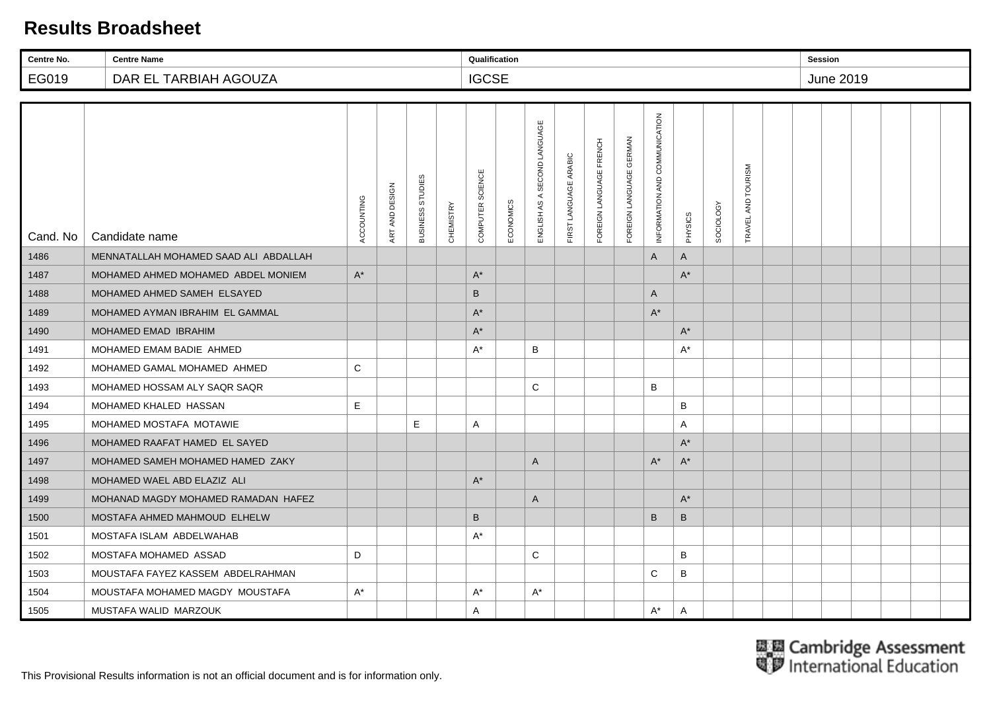| Centre No. | <b>Centre Name</b>                    |            |                |                  |           | Qualification        |           |                                 |                       |                         |                         |                               |                      |                  |                        | <b>Session</b> |                  |  |  |
|------------|---------------------------------------|------------|----------------|------------------|-----------|----------------------|-----------|---------------------------------|-----------------------|-------------------------|-------------------------|-------------------------------|----------------------|------------------|------------------------|----------------|------------------|--|--|
| EG019      | DAR EL TARBIAH AGOUZA                 |            |                |                  |           | <b>IGCSE</b>         |           |                                 |                       |                         |                         |                               |                      |                  |                        |                | <b>June 2019</b> |  |  |
|            |                                       |            |                |                  |           |                      |           |                                 |                       |                         |                         |                               |                      |                  |                        |                |                  |  |  |
| Cand. No   | Candidate name                        | ACCOUNTING | ART AND DESIGN | BUSINESS STUDIES | CHEMISTRY | COMPUTER SCIENCE     | ECONOMICS | SECOND LANGUAGE<br>ENGLISH AS A | FIRST LANGUAGE ARABIC | FOREIGN LANGUAGE FRENCH | FOREIGN LANGUAGE GERMAN | INFORMATION AND COMMUNICATION | PHYSICS              | <b>SOCIOLOGY</b> | AND TOURISM<br>TRAVEL. |                |                  |  |  |
| 1486       | MENNATALLAH MOHAMED SAAD ALI ABDALLAH |            |                |                  |           |                      |           |                                 |                       |                         |                         | A                             | A                    |                  |                        |                |                  |  |  |
| 1487       | MOHAMED AHMED MOHAMED ABDEL MONIEM    | $A^*$      |                |                  |           | $A^*$                |           |                                 |                       |                         |                         |                               | $A^*$                |                  |                        |                |                  |  |  |
| 1488       | MOHAMED AHMED SAMEH ELSAYED           |            |                |                  |           | $\sf B$              |           |                                 |                       |                         |                         | $\overline{A}$                |                      |                  |                        |                |                  |  |  |
| 1489       | MOHAMED AYMAN IBRAHIM EL GAMMAL       |            |                |                  |           | $A^*$                |           |                                 |                       |                         |                         | $A^*$                         |                      |                  |                        |                |                  |  |  |
| 1490       | MOHAMED EMAD IBRAHIM                  |            |                |                  |           | $\mathsf{A}^{\star}$ |           |                                 |                       |                         |                         |                               | $A^*$                |                  |                        |                |                  |  |  |
| 1491       | MOHAMED EMAM BADIE AHMED              |            |                |                  |           | $A^*$                |           | B                               |                       |                         |                         |                               | $A^*$                |                  |                        |                |                  |  |  |
| 1492       | MOHAMED GAMAL MOHAMED AHMED           | C          |                |                  |           |                      |           |                                 |                       |                         |                         |                               |                      |                  |                        |                |                  |  |  |
| 1493       | MOHAMED HOSSAM ALY SAQR SAQR          |            |                |                  |           |                      |           | C                               |                       |                         |                         | $\sf B$                       |                      |                  |                        |                |                  |  |  |
| 1494       | MOHAMED KHALED HASSAN                 | E          |                |                  |           |                      |           |                                 |                       |                         |                         |                               | B                    |                  |                        |                |                  |  |  |
| 1495       | MOHAMED MOSTAFA MOTAWIE               |            |                | E.               |           | Α                    |           |                                 |                       |                         |                         |                               | A                    |                  |                        |                |                  |  |  |
| 1496       | MOHAMED RAAFAT HAMED EL SAYED         |            |                |                  |           |                      |           |                                 |                       |                         |                         |                               | $A^*$                |                  |                        |                |                  |  |  |
| 1497       | MOHAMED SAMEH MOHAMED HAMED ZAKY      |            |                |                  |           |                      |           | A                               |                       |                         |                         | $A^*$                         | $\mathsf{A}^{\star}$ |                  |                        |                |                  |  |  |
| 1498       | MOHAMED WAEL ABD ELAZIZ ALI           |            |                |                  |           | $A^*$                |           |                                 |                       |                         |                         |                               |                      |                  |                        |                |                  |  |  |
| 1499       | MOHANAD MAGDY MOHAMED RAMADAN HAFEZ   |            |                |                  |           |                      |           | A                               |                       |                         |                         |                               | $A^*$                |                  |                        |                |                  |  |  |
| 1500       | MOSTAFA AHMED MAHMOUD ELHELW          |            |                |                  |           | $\sf B$              |           |                                 |                       |                         |                         | B                             | B                    |                  |                        |                |                  |  |  |
| 1501       | MOSTAFA ISLAM ABDELWAHAB              |            |                |                  |           | $A^*$                |           |                                 |                       |                         |                         |                               |                      |                  |                        |                |                  |  |  |
| 1502       | MOSTAFA MOHAMED ASSAD                 | D          |                |                  |           |                      |           | C                               |                       |                         |                         |                               | B                    |                  |                        |                |                  |  |  |
| 1503       | MOUSTAFA FAYEZ KASSEM ABDELRAHMAN     |            |                |                  |           |                      |           |                                 |                       |                         |                         | C                             | B                    |                  |                        |                |                  |  |  |
| 1504       | MOUSTAFA MOHAMED MAGDY MOUSTAFA       | $A^*$      |                |                  |           | $A^*$                |           | $A^*$                           |                       |                         |                         |                               |                      |                  |                        |                |                  |  |  |
| 1505       | MUSTAFA WALID MARZOUK                 |            |                |                  |           | Α                    |           |                                 |                       |                         |                         | $A^*$                         | A                    |                  |                        |                |                  |  |  |

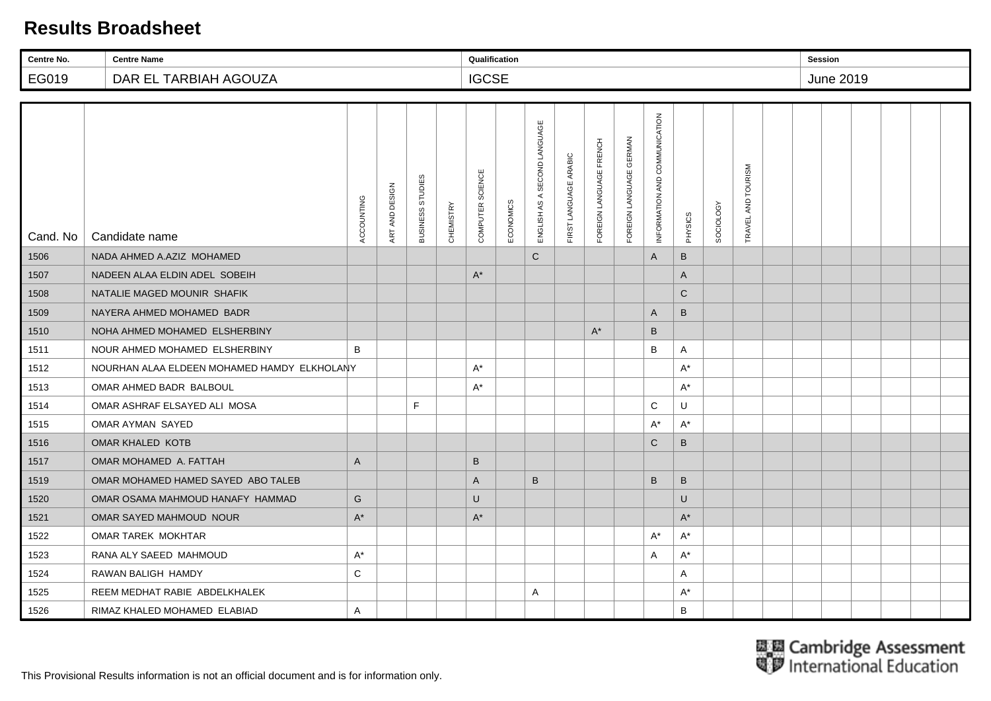| Centre No. | <b>Centre Name</b>                          |              |                |                                   |                  | Qualification    |           |                                 |                       |                         |                            |                               |              |           |                        | <b>Session</b> |           |  |  |
|------------|---------------------------------------------|--------------|----------------|-----------------------------------|------------------|------------------|-----------|---------------------------------|-----------------------|-------------------------|----------------------------|-------------------------------|--------------|-----------|------------------------|----------------|-----------|--|--|
| EG019      | DAR EL TARBIAH AGOUZA                       |              |                |                                   |                  | <b>IGCSE</b>     |           |                                 |                       |                         |                            |                               |              |           |                        |                | June 2019 |  |  |
|            |                                             |              |                |                                   |                  |                  |           |                                 |                       |                         |                            |                               |              |           |                        |                |           |  |  |
| Cand. No   | Candidate name                              | ACCOUNTING   | ART AND DESIGN | <b>STUDIES</b><br><b>BUSINESS</b> | <b>CHEMISTRY</b> | COMPUTER SCIENCE | ECONOMICS | SECOND LANGUAGE<br>ENGLISH AS A | FIRST LANGUAGE ARABIC | FOREIGN LANGUAGE FRENCH | GERMAN<br>FOREIGN LANGUAGE | INFORMATION AND COMMUNICATION | PHYSICS      | SOCIOLOGY | AND TOURISM<br>TRAVEL. |                |           |  |  |
| 1506       | NADA AHMED A.AZIZ MOHAMED                   |              |                |                                   |                  |                  |           | $\mathsf{C}$                    |                       |                         |                            | A                             | $\sf B$      |           |                        |                |           |  |  |
| 1507       | NADEEN ALAA ELDIN ADEL SOBEIH               |              |                |                                   |                  | $A^*$            |           |                                 |                       |                         |                            |                               | A            |           |                        |                |           |  |  |
| 1508       | NATALIE MAGED MOUNIR SHAFIK                 |              |                |                                   |                  |                  |           |                                 |                       |                         |                            |                               | $\mathsf{C}$ |           |                        |                |           |  |  |
| 1509       | NAYERA AHMED MOHAMED BADR                   |              |                |                                   |                  |                  |           |                                 |                       |                         |                            | $\overline{A}$                | B            |           |                        |                |           |  |  |
| 1510       | NOHA AHMED MOHAMED ELSHERBINY               |              |                |                                   |                  |                  |           |                                 |                       | $A^*$                   |                            | $\sf B$                       |              |           |                        |                |           |  |  |
| 1511       | NOUR AHMED MOHAMED ELSHERBINY               | B            |                |                                   |                  |                  |           |                                 |                       |                         |                            | B                             | A            |           |                        |                |           |  |  |
| 1512       | NOURHAN ALAA ELDEEN MOHAMED HAMDY ELKHOLANY |              |                |                                   |                  | $A^*$            |           |                                 |                       |                         |                            |                               | A*           |           |                        |                |           |  |  |
| 1513       | OMAR AHMED BADR BALBOUL                     |              |                |                                   |                  | $A^*$            |           |                                 |                       |                         |                            |                               | $A^*$        |           |                        |                |           |  |  |
| 1514       | OMAR ASHRAF ELSAYED ALI MOSA                |              |                | F.                                |                  |                  |           |                                 |                       |                         |                            | C                             | U            |           |                        |                |           |  |  |
| 1515       | OMAR AYMAN SAYED                            |              |                |                                   |                  |                  |           |                                 |                       |                         |                            | A*                            | $A^*$        |           |                        |                |           |  |  |
| 1516       | OMAR KHALED KOTB                            |              |                |                                   |                  |                  |           |                                 |                       |                         |                            | $\mathsf{C}$                  | B            |           |                        |                |           |  |  |
| 1517       | OMAR MOHAMED A. FATTAH                      | $\mathsf{A}$ |                |                                   |                  | B                |           |                                 |                       |                         |                            |                               |              |           |                        |                |           |  |  |
| 1519       | OMAR MOHAMED HAMED SAYED ABO TALEB          |              |                |                                   |                  | A                |           | B                               |                       |                         |                            | $\sf B$                       | B            |           |                        |                |           |  |  |
| 1520       | OMAR OSAMA MAHMOUD HANAFY HAMMAD            | G            |                |                                   |                  | $\cup$           |           |                                 |                       |                         |                            |                               | U            |           |                        |                |           |  |  |
| 1521       | OMAR SAYED MAHMOUD NOUR                     | $A^*$        |                |                                   |                  | $A^*$            |           |                                 |                       |                         |                            |                               | $A^*$        |           |                        |                |           |  |  |
| 1522       | OMAR TAREK MOKHTAR                          |              |                |                                   |                  |                  |           |                                 |                       |                         |                            | $A^*$                         | $A^*$        |           |                        |                |           |  |  |
| 1523       | RANA ALY SAEED MAHMOUD                      | $A^*$        |                |                                   |                  |                  |           |                                 |                       |                         |                            | Α                             | $A^*$        |           |                        |                |           |  |  |
| 1524       | RAWAN BALIGH HAMDY                          | $\mathsf{C}$ |                |                                   |                  |                  |           |                                 |                       |                         |                            |                               | A            |           |                        |                |           |  |  |
| 1525       | REEM MEDHAT RABIE ABDELKHALEK               |              |                |                                   |                  |                  |           | A                               |                       |                         |                            |                               | $A^*$        |           |                        |                |           |  |  |
| 1526       | RIMAZ KHALED MOHAMED ELABIAD                | A            |                |                                   |                  |                  |           |                                 |                       |                         |                            |                               | B            |           |                        |                |           |  |  |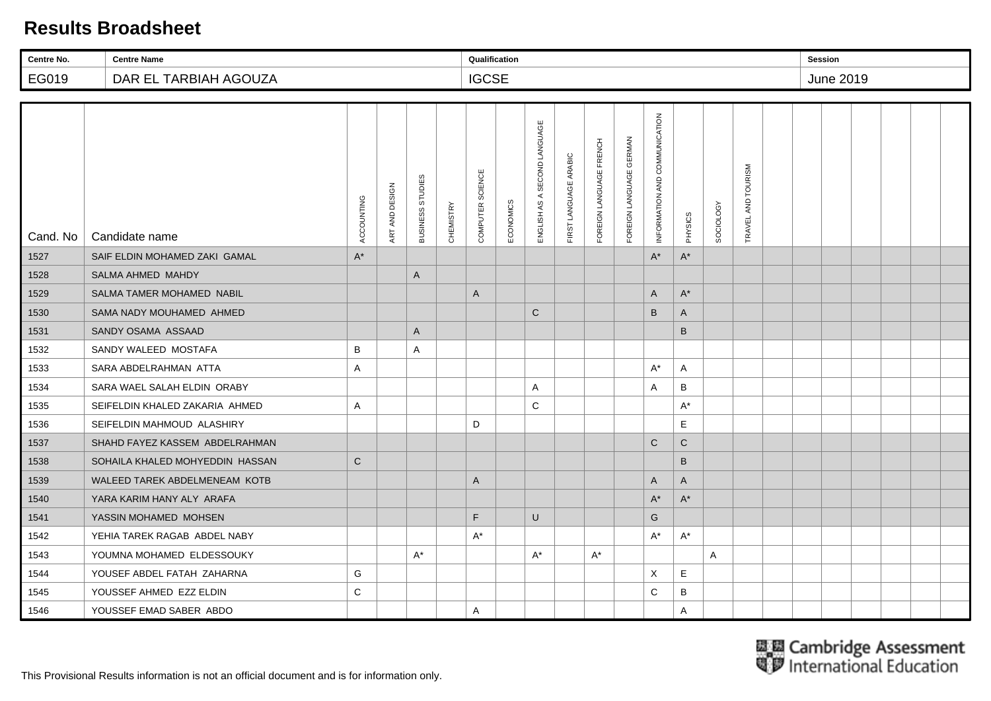| Centre No. | <b>Centre Name</b>              |                |                |                  |                  | Qualification    |           |                                 |                       |                         |                                   |                               |                      |                  |                        | Session |           |  |  |
|------------|---------------------------------|----------------|----------------|------------------|------------------|------------------|-----------|---------------------------------|-----------------------|-------------------------|-----------------------------------|-------------------------------|----------------------|------------------|------------------------|---------|-----------|--|--|
| EG019      | DAR EL TARBIAH AGOUZA           |                |                |                  |                  | <b>IGCSE</b>     |           |                                 |                       |                         |                                   |                               |                      |                  |                        |         | June 2019 |  |  |
|            |                                 |                |                |                  |                  |                  |           |                                 |                       |                         |                                   |                               |                      |                  |                        |         |           |  |  |
| Cand. No   | Candidate name                  | ACCOUNTING     | ART AND DESIGN | BUSINESS STUDIES | <b>CHEMISTRY</b> | COMPUTER SCIENCE | ECONOMICS | SECOND LANGUAGE<br>ENGLISH AS A | FIRST LANGUAGE ARABIC | FOREIGN LANGUAGE FRENCH | <b>GERMAN</b><br>FOREIGN LANGUAGE | INFORMATION AND COMMUNICATION | PHYSICS              | <b>SOCIOLOGY</b> | AND TOURISM<br>TRAVEL. |         |           |  |  |
| 1527       | SAIF ELDIN MOHAMED ZAKI GAMAL   | $\mathsf{A}^*$ |                |                  |                  |                  |           |                                 |                       |                         |                                   | $A^*$                         | $\mathsf{A}^{\star}$ |                  |                        |         |           |  |  |
| 1528       | SALMA AHMED MAHDY               |                |                | A                |                  |                  |           |                                 |                       |                         |                                   |                               |                      |                  |                        |         |           |  |  |
| 1529       | SALMA TAMER MOHAMED NABIL       |                |                |                  |                  | A                |           |                                 |                       |                         |                                   | A                             | $A^*$                |                  |                        |         |           |  |  |
| 1530       | SAMA NADY MOUHAMED AHMED        |                |                |                  |                  |                  |           | $\mathbf C$                     |                       |                         |                                   | $\sf B$                       | A                    |                  |                        |         |           |  |  |
| 1531       | SANDY OSAMA ASSAAD              |                |                | A                |                  |                  |           |                                 |                       |                         |                                   |                               | B                    |                  |                        |         |           |  |  |
| 1532       | SANDY WALEED MOSTAFA            | B              |                | A                |                  |                  |           |                                 |                       |                         |                                   |                               |                      |                  |                        |         |           |  |  |
| 1533       | SARA ABDELRAHMAN ATTA           | A              |                |                  |                  |                  |           |                                 |                       |                         |                                   | $A^*$                         | A                    |                  |                        |         |           |  |  |
| 1534       | SARA WAEL SALAH ELDIN ORABY     |                |                |                  |                  |                  |           | A                               |                       |                         |                                   | Α                             | B                    |                  |                        |         |           |  |  |
| 1535       | SEIFELDIN KHALED ZAKARIA AHMED  | A              |                |                  |                  |                  |           | C                               |                       |                         |                                   |                               | $A^*$                |                  |                        |         |           |  |  |
| 1536       | SEIFELDIN MAHMOUD ALASHIRY      |                |                |                  |                  | D                |           |                                 |                       |                         |                                   |                               | E                    |                  |                        |         |           |  |  |
| 1537       | SHAHD FAYEZ KASSEM ABDELRAHMAN  |                |                |                  |                  |                  |           |                                 |                       |                         |                                   | $\mathsf{C}$                  | $\mathsf{C}$         |                  |                        |         |           |  |  |
| 1538       | SOHAILA KHALED MOHYEDDIN HASSAN | $\mathsf{C}$   |                |                  |                  |                  |           |                                 |                       |                         |                                   |                               | $\sf B$              |                  |                        |         |           |  |  |
| 1539       | WALEED TAREK ABDELMENEAM KOTB   |                |                |                  |                  | A                |           |                                 |                       |                         |                                   | A                             | A                    |                  |                        |         |           |  |  |
| 1540       | YARA KARIM HANY ALY ARAFA       |                |                |                  |                  |                  |           |                                 |                       |                         |                                   | $\mathsf{A}^\star$            | $\mathsf{A}^{\star}$ |                  |                        |         |           |  |  |
| 1541       | YASSIN MOHAMED MOHSEN           |                |                |                  |                  | F                |           | $\sf U$                         |                       |                         |                                   | G                             |                      |                  |                        |         |           |  |  |
| 1542       | YEHIA TAREK RAGAB ABDEL NABY    |                |                |                  |                  | $A^*$            |           |                                 |                       |                         |                                   | $A^*$                         | $A^*$                |                  |                        |         |           |  |  |
| 1543       | YOUMNA MOHAMED ELDESSOUKY       |                |                | $A^*$            |                  |                  |           | A*                              |                       | $A^*$                   |                                   |                               |                      | A                |                        |         |           |  |  |
| 1544       | YOUSEF ABDEL FATAH ZAHARNA      | G              |                |                  |                  |                  |           |                                 |                       |                         |                                   | X                             | Е                    |                  |                        |         |           |  |  |
| 1545       | YOUSSEF AHMED EZZ ELDIN         | $\mathsf C$    |                |                  |                  |                  |           |                                 |                       |                         |                                   | $\mathbf C$                   | В                    |                  |                        |         |           |  |  |
| 1546       | YOUSSEF EMAD SABER ABDO         |                |                |                  |                  | Α                |           |                                 |                       |                         |                                   |                               | A                    |                  |                        |         |           |  |  |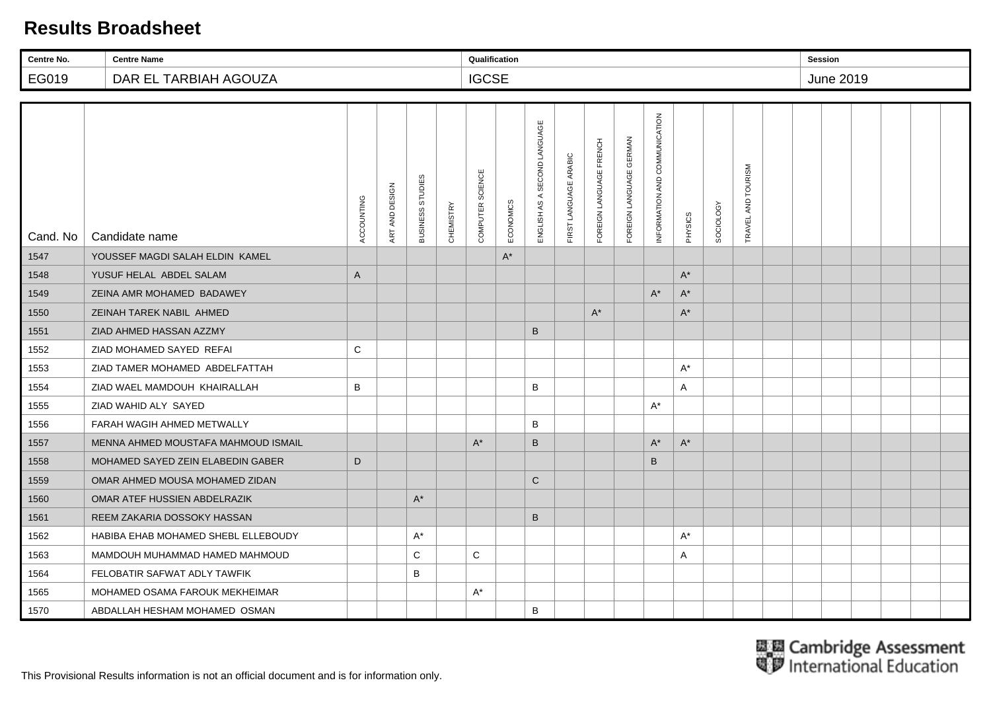| Centre No. | <b>Centre Name</b>                  |              |                |                  |           | Qualification    |           |                                 |                       |                         |                         |                               |                      |                  |                        | <b>Session</b> |           |  |  |
|------------|-------------------------------------|--------------|----------------|------------------|-----------|------------------|-----------|---------------------------------|-----------------------|-------------------------|-------------------------|-------------------------------|----------------------|------------------|------------------------|----------------|-----------|--|--|
| EG019      | DAR EL TARBIAH AGOUZA               |              |                |                  |           | <b>IGCSE</b>     |           |                                 |                       |                         |                         |                               |                      |                  |                        |                | June 2019 |  |  |
|            |                                     |              |                |                  |           |                  |           |                                 |                       |                         |                         |                               |                      |                  |                        |                |           |  |  |
| Cand. No   | Candidate name                      | ACCOUNTING   | ART AND DESIGN | BUSINESS STUDIES | CHEMISTRY | COMPUTER SCIENCE | ECONOMICS | SECOND LANGUAGE<br>ENGLISH AS A | FIRST LANGUAGE ARABIC | FOREIGN LANGUAGE FRENCH | FOREIGN LANGUAGE GERMAN | INFORMATION AND COMMUNICATION | PHYSICS              | <b>SOCIOLOGY</b> | AND TOURISM<br>TRAVEL, |                |           |  |  |
| 1547       | YOUSSEF MAGDI SALAH ELDIN KAMEL     |              |                |                  |           |                  | $A^*$     |                                 |                       |                         |                         |                               |                      |                  |                        |                |           |  |  |
| 1548       | YUSUF HELAL ABDEL SALAM             | $\mathsf{A}$ |                |                  |           |                  |           |                                 |                       |                         |                         |                               | $A^*$                |                  |                        |                |           |  |  |
| 1549       | ZEINA AMR MOHAMED BADAWEY           |              |                |                  |           |                  |           |                                 |                       |                         |                         | $A^*$                         | $\mathsf{A}^{\star}$ |                  |                        |                |           |  |  |
| 1550       | ZEINAH TAREK NABIL AHMED            |              |                |                  |           |                  |           |                                 |                       | $A^*$                   |                         |                               | $A^*$                |                  |                        |                |           |  |  |
| 1551       | ZIAD AHMED HASSAN AZZMY             |              |                |                  |           |                  |           | B                               |                       |                         |                         |                               |                      |                  |                        |                |           |  |  |
| 1552       | ZIAD MOHAMED SAYED REFAI            | $\mathsf{C}$ |                |                  |           |                  |           |                                 |                       |                         |                         |                               |                      |                  |                        |                |           |  |  |
| 1553       | ZIAD TAMER MOHAMED ABDELFATTAH      |              |                |                  |           |                  |           |                                 |                       |                         |                         |                               | $A^*$                |                  |                        |                |           |  |  |
| 1554       | ZIAD WAEL MAMDOUH KHAIRALLAH        | B            |                |                  |           |                  |           | B                               |                       |                         |                         |                               | A                    |                  |                        |                |           |  |  |
| 1555       | ZIAD WAHID ALY SAYED                |              |                |                  |           |                  |           |                                 |                       |                         |                         | $A^*$                         |                      |                  |                        |                |           |  |  |
| 1556       | FARAH WAGIH AHMED METWALLY          |              |                |                  |           |                  |           | B                               |                       |                         |                         |                               |                      |                  |                        |                |           |  |  |
| 1557       | MENNA AHMED MOUSTAFA MAHMOUD ISMAIL |              |                |                  |           | $A^*$            |           | B                               |                       |                         |                         | $A^*$                         | $A^*$                |                  |                        |                |           |  |  |
| 1558       | MOHAMED SAYED ZEIN ELABEDIN GABER   | D            |                |                  |           |                  |           |                                 |                       |                         |                         | B                             |                      |                  |                        |                |           |  |  |
| 1559       | OMAR AHMED MOUSA MOHAMED ZIDAN      |              |                |                  |           |                  |           | $\mathsf{C}$                    |                       |                         |                         |                               |                      |                  |                        |                |           |  |  |
| 1560       | OMAR ATEF HUSSIEN ABDELRAZIK        |              |                | $A^*$            |           |                  |           |                                 |                       |                         |                         |                               |                      |                  |                        |                |           |  |  |
| 1561       | REEM ZAKARIA DOSSOKY HASSAN         |              |                |                  |           |                  |           | $\sf B$                         |                       |                         |                         |                               |                      |                  |                        |                |           |  |  |
| 1562       | HABIBA EHAB MOHAMED SHEBL ELLEBOUDY |              |                | $A^*$            |           |                  |           |                                 |                       |                         |                         |                               | $A^*$                |                  |                        |                |           |  |  |
| 1563       | MAMDOUH MUHAMMAD HAMED MAHMOUD      |              |                | C                |           | $\mathsf C$      |           |                                 |                       |                         |                         |                               | Α                    |                  |                        |                |           |  |  |
| 1564       | FELOBATIR SAFWAT ADLY TAWFIK        |              |                | B                |           |                  |           |                                 |                       |                         |                         |                               |                      |                  |                        |                |           |  |  |
| 1565       | MOHAMED OSAMA FAROUK MEKHEIMAR      |              |                |                  |           | $A^*$            |           |                                 |                       |                         |                         |                               |                      |                  |                        |                |           |  |  |
| 1570       | ABDALLAH HESHAM MOHAMED OSMAN       |              |                |                  |           |                  |           | B                               |                       |                         |                         |                               |                      |                  |                        |                |           |  |  |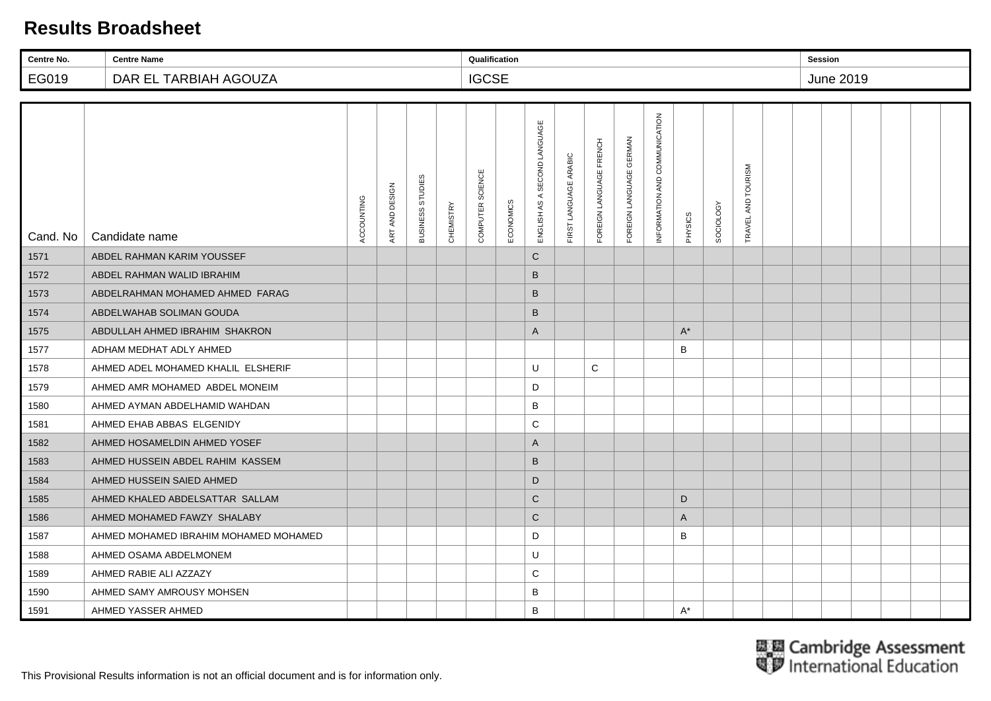| Centre No. | <b>Centre Name</b>                    |            |                |                  |                  | Qualification    |           |                                 |                       |                         |                         |                               |              |                  |                        | <b>Session</b> |           |  |  |
|------------|---------------------------------------|------------|----------------|------------------|------------------|------------------|-----------|---------------------------------|-----------------------|-------------------------|-------------------------|-------------------------------|--------------|------------------|------------------------|----------------|-----------|--|--|
| EG019      | DAR EL TARBIAH AGOUZA                 |            |                |                  |                  | <b>IGCSE</b>     |           |                                 |                       |                         |                         |                               |              |                  |                        |                | June 2019 |  |  |
|            |                                       |            |                |                  |                  |                  |           |                                 |                       |                         |                         |                               |              |                  |                        |                |           |  |  |
| Cand. No   | Candidate name                        | ACCOUNTING | ART AND DESIGN | BUSINESS STUDIES | <b>CHEMISTRY</b> | COMPUTER SCIENCE | ECONOMICS | SECOND LANGUAGE<br>ENGLISH AS A | FIRST LANGUAGE ARABIC | FOREIGN LANGUAGE FRENCH | FOREIGN LANGUAGE GERMAN | INFORMATION AND COMMUNICATION | PHYSICS      | <b>SOCIOLOGY</b> | AND TOURISM<br>TRAVEL, |                |           |  |  |
| 1571       | ABDEL RAHMAN KARIM YOUSSEF            |            |                |                  |                  |                  |           | $\mathsf{C}$                    |                       |                         |                         |                               |              |                  |                        |                |           |  |  |
| 1572       | ABDEL RAHMAN WALID IBRAHIM            |            |                |                  |                  |                  |           | B                               |                       |                         |                         |                               |              |                  |                        |                |           |  |  |
| 1573       | ABDELRAHMAN MOHAMED AHMED FARAG       |            |                |                  |                  |                  |           | $\sf B$                         |                       |                         |                         |                               |              |                  |                        |                |           |  |  |
| 1574       | ABDELWAHAB SOLIMAN GOUDA              |            |                |                  |                  |                  |           | B                               |                       |                         |                         |                               |              |                  |                        |                |           |  |  |
| 1575       | ABDULLAH AHMED IBRAHIM SHAKRON        |            |                |                  |                  |                  |           | A                               |                       |                         |                         |                               | $A^*$        |                  |                        |                |           |  |  |
| 1577       | ADHAM MEDHAT ADLY AHMED               |            |                |                  |                  |                  |           |                                 |                       |                         |                         |                               | B            |                  |                        |                |           |  |  |
| 1578       | AHMED ADEL MOHAMED KHALIL ELSHERIF    |            |                |                  |                  |                  |           | U                               |                       | $\mathsf C$             |                         |                               |              |                  |                        |                |           |  |  |
| 1579       | AHMED AMR MOHAMED ABDEL MONEIM        |            |                |                  |                  |                  |           | D                               |                       |                         |                         |                               |              |                  |                        |                |           |  |  |
| 1580       | AHMED AYMAN ABDELHAMID WAHDAN         |            |                |                  |                  |                  |           | B                               |                       |                         |                         |                               |              |                  |                        |                |           |  |  |
| 1581       | AHMED EHAB ABBAS ELGENIDY             |            |                |                  |                  |                  |           | C                               |                       |                         |                         |                               |              |                  |                        |                |           |  |  |
| 1582       | AHMED HOSAMELDIN AHMED YOSEF          |            |                |                  |                  |                  |           | $\mathsf{A}$                    |                       |                         |                         |                               |              |                  |                        |                |           |  |  |
| 1583       | AHMED HUSSEIN ABDEL RAHIM KASSEM      |            |                |                  |                  |                  |           | B                               |                       |                         |                         |                               |              |                  |                        |                |           |  |  |
| 1584       | AHMED HUSSEIN SAIED AHMED             |            |                |                  |                  |                  |           | D                               |                       |                         |                         |                               |              |                  |                        |                |           |  |  |
| 1585       | AHMED KHALED ABDELSATTAR SALLAM       |            |                |                  |                  |                  |           | $\mathsf{C}$                    |                       |                         |                         |                               | D            |                  |                        |                |           |  |  |
| 1586       | AHMED MOHAMED FAWZY SHALABY           |            |                |                  |                  |                  |           | $\mathsf C$                     |                       |                         |                         |                               | $\mathsf{A}$ |                  |                        |                |           |  |  |
| 1587       | AHMED MOHAMED IBRAHIM MOHAMED MOHAMED |            |                |                  |                  |                  |           | D                               |                       |                         |                         |                               | B            |                  |                        |                |           |  |  |
| 1588       | AHMED OSAMA ABDELMONEM                |            |                |                  |                  |                  |           | U                               |                       |                         |                         |                               |              |                  |                        |                |           |  |  |
| 1589       | AHMED RABIE ALI AZZAZY                |            |                |                  |                  |                  |           | C                               |                       |                         |                         |                               |              |                  |                        |                |           |  |  |
| 1590       | AHMED SAMY AMROUSY MOHSEN             |            |                |                  |                  |                  |           | B                               |                       |                         |                         |                               |              |                  |                        |                |           |  |  |
| 1591       | AHMED YASSER AHMED                    |            |                |                  |                  |                  |           | B                               |                       |                         |                         |                               | $A^*$        |                  |                        |                |           |  |  |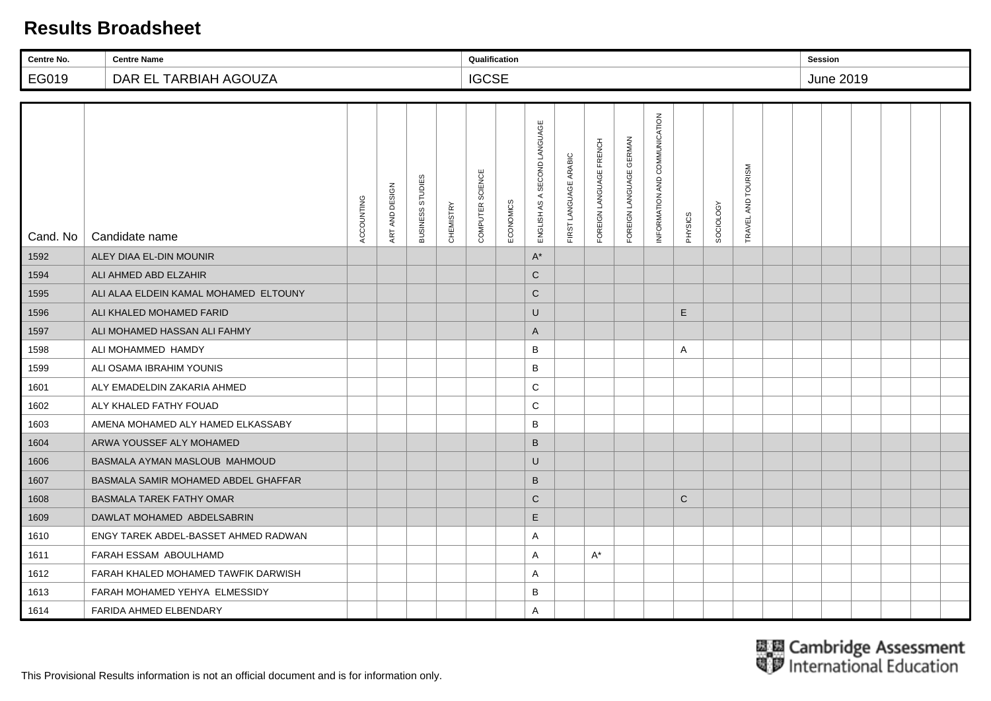| Centre No. | <b>Centre Name</b>                    |            |                |                  |                  | Qualification    |           |                                 |                       |                         |                         |                               |         |                  |                    | <b>Session</b> |           |  |  |
|------------|---------------------------------------|------------|----------------|------------------|------------------|------------------|-----------|---------------------------------|-----------------------|-------------------------|-------------------------|-------------------------------|---------|------------------|--------------------|----------------|-----------|--|--|
| EG019      | DAR EL TARBIAH AGOUZA                 |            |                |                  |                  | <b>IGCSE</b>     |           |                                 |                       |                         |                         |                               |         |                  |                    |                | June 2019 |  |  |
|            |                                       |            |                |                  |                  |                  |           |                                 |                       |                         |                         |                               |         |                  |                    |                |           |  |  |
| Cand. No   | Candidate name                        | ACCOUNTING | ART AND DESIGN | BUSINESS STUDIES | <b>CHEMISTRY</b> | COMPUTER SCIENCE | ECONOMICS | SECOND LANGUAGE<br>ENGLISH AS A | FIRST LANGUAGE ARABIC | FOREIGN LANGUAGE FRENCH | FOREIGN LANGUAGE GERMAN | INFORMATION AND COMMUNICATION | PHYSICS | <b>SOCIOLOGY</b> | TRAVEL AND TOURISM |                |           |  |  |
| 1592       | ALEY DIAA EL-DIN MOUNIR               |            |                |                  |                  |                  |           | $A^*$                           |                       |                         |                         |                               |         |                  |                    |                |           |  |  |
| 1594       | ALI AHMED ABD ELZAHIR                 |            |                |                  |                  |                  |           | $\mathsf{C}$                    |                       |                         |                         |                               |         |                  |                    |                |           |  |  |
| 1595       | ALI ALAA ELDEIN KAMAL MOHAMED ELTOUNY |            |                |                  |                  |                  |           | $\mathsf C$                     |                       |                         |                         |                               |         |                  |                    |                |           |  |  |
| 1596       | ALI KHALED MOHAMED FARID              |            |                |                  |                  |                  |           | U                               |                       |                         |                         |                               | E       |                  |                    |                |           |  |  |
| 1597       | ALI MOHAMED HASSAN ALI FAHMY          |            |                |                  |                  |                  |           | A                               |                       |                         |                         |                               |         |                  |                    |                |           |  |  |
| 1598       | ALI MOHAMMED HAMDY                    |            |                |                  |                  |                  |           | B                               |                       |                         |                         |                               | Α       |                  |                    |                |           |  |  |
| 1599       | ALI OSAMA IBRAHIM YOUNIS              |            |                |                  |                  |                  |           | B                               |                       |                         |                         |                               |         |                  |                    |                |           |  |  |
| 1601       | ALY EMADELDIN ZAKARIA AHMED           |            |                |                  |                  |                  |           | C                               |                       |                         |                         |                               |         |                  |                    |                |           |  |  |
| 1602       | ALY KHALED FATHY FOUAD                |            |                |                  |                  |                  |           | C                               |                       |                         |                         |                               |         |                  |                    |                |           |  |  |
| 1603       | AMENA MOHAMED ALY HAMED ELKASSABY     |            |                |                  |                  |                  |           | B                               |                       |                         |                         |                               |         |                  |                    |                |           |  |  |
| 1604       | ARWA YOUSSEF ALY MOHAMED              |            |                |                  |                  |                  |           | $\sf B$                         |                       |                         |                         |                               |         |                  |                    |                |           |  |  |
| 1606       | BASMALA AYMAN MASLOUB MAHMOUD         |            |                |                  |                  |                  |           | U                               |                       |                         |                         |                               |         |                  |                    |                |           |  |  |
| 1607       | BASMALA SAMIR MOHAMED ABDEL GHAFFAR   |            |                |                  |                  |                  |           | $\sf B$                         |                       |                         |                         |                               |         |                  |                    |                |           |  |  |
| 1608       | <b>BASMALA TAREK FATHY OMAR</b>       |            |                |                  |                  |                  |           | $\mathsf{C}$                    |                       |                         |                         |                               | C       |                  |                    |                |           |  |  |
| 1609       | DAWLAT MOHAMED ABDELSABRIN            |            |                |                  |                  |                  |           | E                               |                       |                         |                         |                               |         |                  |                    |                |           |  |  |
| 1610       | ENGY TAREK ABDEL-BASSET AHMED RADWAN  |            |                |                  |                  |                  |           | Α                               |                       |                         |                         |                               |         |                  |                    |                |           |  |  |
| 1611       | FARAH ESSAM ABOULHAMD                 |            |                |                  |                  |                  |           | A                               |                       | $A^*$                   |                         |                               |         |                  |                    |                |           |  |  |
| 1612       | FARAH KHALED MOHAMED TAWFIK DARWISH   |            |                |                  |                  |                  |           | Α                               |                       |                         |                         |                               |         |                  |                    |                |           |  |  |
| 1613       | FARAH MOHAMED YEHYA ELMESSIDY         |            |                |                  |                  |                  |           | B                               |                       |                         |                         |                               |         |                  |                    |                |           |  |  |
| 1614       | FARIDA AHMED ELBENDARY                |            |                |                  |                  |                  |           | Α                               |                       |                         |                         |                               |         |                  |                    |                |           |  |  |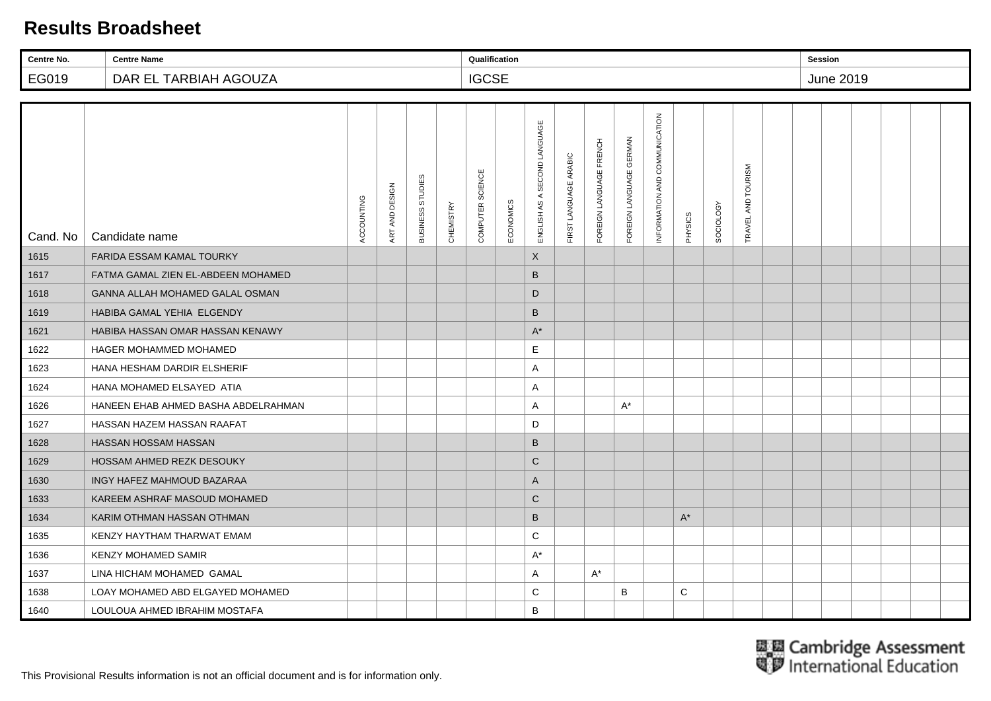| Centre No. | <b>Centre Name</b>                  |            |                |                  |           | Qualification    |           |                                 |                       |                         |                         |                               |         |                  |                        | <b>Session</b> |           |  |  |
|------------|-------------------------------------|------------|----------------|------------------|-----------|------------------|-----------|---------------------------------|-----------------------|-------------------------|-------------------------|-------------------------------|---------|------------------|------------------------|----------------|-----------|--|--|
| EG019      | DAR EL TARBIAH AGOUZA               |            |                |                  |           | <b>IGCSE</b>     |           |                                 |                       |                         |                         |                               |         |                  |                        |                | June 2019 |  |  |
|            |                                     |            |                |                  |           |                  |           |                                 |                       |                         |                         |                               |         |                  |                        |                |           |  |  |
| Cand. No   | Candidate name                      | ACCOUNTING | ART AND DESIGN | BUSINESS STUDIES | CHEMISTRY | COMPUTER SCIENCE | ECONOMICS | SECOND LANGUAGE<br>ENGLISH AS A | FIRST LANGUAGE ARABIC | FOREIGN LANGUAGE FRENCH | FOREIGN LANGUAGE GERMAN | INFORMATION AND COMMUNICATION | PHYSICS | <b>SOCIOLOGY</b> | AND TOURISM<br>TRAVEL. |                |           |  |  |
| 1615       | <b>FARIDA ESSAM KAMAL TOURKY</b>    |            |                |                  |           |                  |           | X                               |                       |                         |                         |                               |         |                  |                        |                |           |  |  |
| 1617       | FATMA GAMAL ZIEN EL-ABDEEN MOHAMED  |            |                |                  |           |                  |           | B                               |                       |                         |                         |                               |         |                  |                        |                |           |  |  |
| 1618       | GANNA ALLAH MOHAMED GALAL OSMAN     |            |                |                  |           |                  |           | D                               |                       |                         |                         |                               |         |                  |                        |                |           |  |  |
| 1619       | <b>HABIBA GAMAL YEHIA ELGENDY</b>   |            |                |                  |           |                  |           | B                               |                       |                         |                         |                               |         |                  |                        |                |           |  |  |
| 1621       | HABIBA HASSAN OMAR HASSAN KENAWY    |            |                |                  |           |                  |           | $A^*$                           |                       |                         |                         |                               |         |                  |                        |                |           |  |  |
| 1622       | <b>HAGER MOHAMMED MOHAMED</b>       |            |                |                  |           |                  |           | E                               |                       |                         |                         |                               |         |                  |                        |                |           |  |  |
| 1623       | HANA HESHAM DARDIR ELSHERIF         |            |                |                  |           |                  |           | A                               |                       |                         |                         |                               |         |                  |                        |                |           |  |  |
| 1624       | HANA MOHAMED ELSAYED ATIA           |            |                |                  |           |                  |           | A                               |                       |                         |                         |                               |         |                  |                        |                |           |  |  |
| 1626       | HANEEN EHAB AHMED BASHA ABDELRAHMAN |            |                |                  |           |                  |           | A                               |                       |                         | $A^*$                   |                               |         |                  |                        |                |           |  |  |
| 1627       | HASSAN HAZEM HASSAN RAAFAT          |            |                |                  |           |                  |           | D                               |                       |                         |                         |                               |         |                  |                        |                |           |  |  |
| 1628       | HASSAN HOSSAM HASSAN                |            |                |                  |           |                  |           | B                               |                       |                         |                         |                               |         |                  |                        |                |           |  |  |
| 1629       | HOSSAM AHMED REZK DESOUKY           |            |                |                  |           |                  |           | $\mathsf{C}$                    |                       |                         |                         |                               |         |                  |                        |                |           |  |  |
| 1630       | INGY HAFEZ MAHMOUD BAZARAA          |            |                |                  |           |                  |           | A                               |                       |                         |                         |                               |         |                  |                        |                |           |  |  |
| 1633       | KAREEM ASHRAF MASOUD MOHAMED        |            |                |                  |           |                  |           | $\mathsf{C}$                    |                       |                         |                         |                               |         |                  |                        |                |           |  |  |
| 1634       | KARIM OTHMAN HASSAN OTHMAN          |            |                |                  |           |                  |           | $\sf B$                         |                       |                         |                         |                               | $A^*$   |                  |                        |                |           |  |  |
| 1635       | KENZY HAYTHAM THARWAT EMAM          |            |                |                  |           |                  |           | C                               |                       |                         |                         |                               |         |                  |                        |                |           |  |  |
| 1636       | <b>KENZY MOHAMED SAMIR</b>          |            |                |                  |           |                  |           | $A^*$                           |                       |                         |                         |                               |         |                  |                        |                |           |  |  |
| 1637       | LINA HICHAM MOHAMED GAMAL           |            |                |                  |           |                  |           | A                               |                       | $A^*$                   |                         |                               |         |                  |                        |                |           |  |  |
| 1638       | LOAY MOHAMED ABD ELGAYED MOHAMED    |            |                |                  |           |                  |           | C                               |                       |                         | В                       |                               | C       |                  |                        |                |           |  |  |
| 1640       | LOULOUA AHMED IBRAHIM MOSTAFA       |            |                |                  |           |                  |           | B                               |                       |                         |                         |                               |         |                  |                        |                |           |  |  |

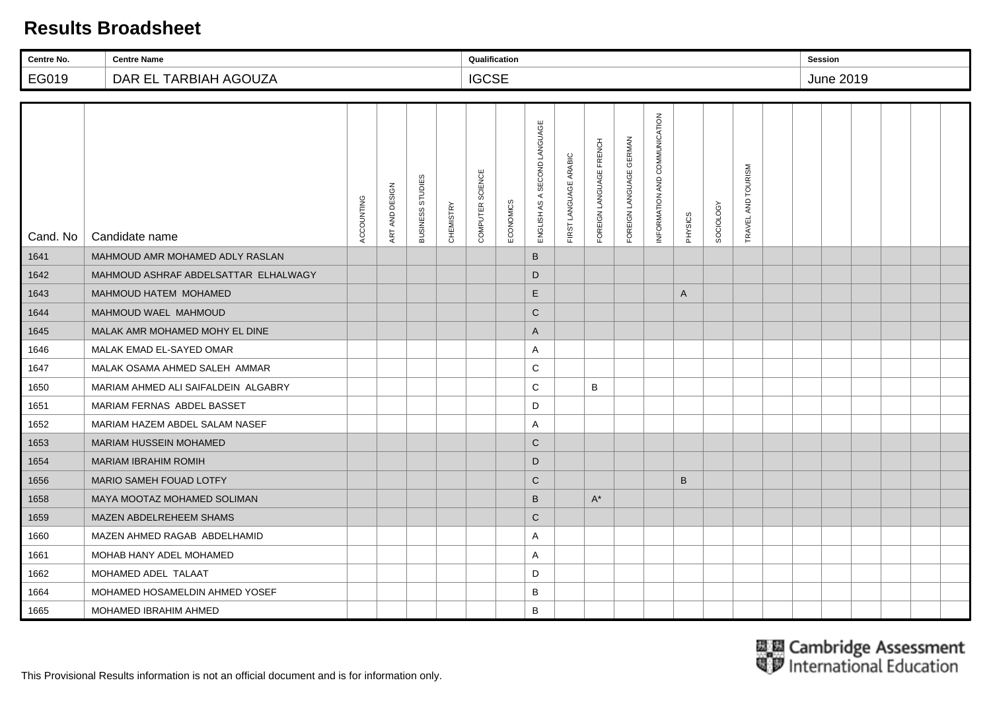| Centre No. | <b>Centre Name</b>                   |            |                |                  |           | Qualification    |           |                                          |                       |                         |                                   |                               |         |                  |                        | <b>Session</b> |           |  |  |
|------------|--------------------------------------|------------|----------------|------------------|-----------|------------------|-----------|------------------------------------------|-----------------------|-------------------------|-----------------------------------|-------------------------------|---------|------------------|------------------------|----------------|-----------|--|--|
| EG019      | DAR EL TARBIAH AGOUZA                |            |                |                  |           | <b>IGCSE</b>     |           |                                          |                       |                         |                                   |                               |         |                  |                        |                | June 2019 |  |  |
|            |                                      |            |                |                  |           |                  |           |                                          |                       |                         |                                   |                               |         |                  |                        |                |           |  |  |
| Cand. No   | Candidate name                       | ACCOUNTING | ART AND DESIGN | BUSINESS STUDIES | CHEMISTRY | COMPUTER SCIENCE | ECONOMICS | SECOND LANGUAGE<br>$\prec$<br>ENGLISH AS | FIRST LANGUAGE ARABIC | FOREIGN LANGUAGE FRENCH | <b>GERMAN</b><br>FOREIGN LANGUAGE | INFORMATION AND COMMUNICATION | PHYSICS | <b>SOCIOLOGY</b> | AND TOURISM<br>TRAVEL. |                |           |  |  |
| 1641       | MAHMOUD AMR MOHAMED ADLY RASLAN      |            |                |                  |           |                  |           | B                                        |                       |                         |                                   |                               |         |                  |                        |                |           |  |  |
| 1642       | MAHMOUD ASHRAF ABDELSATTAR ELHALWAGY |            |                |                  |           |                  |           | D                                        |                       |                         |                                   |                               |         |                  |                        |                |           |  |  |
| 1643       | MAHMOUD HATEM MOHAMED                |            |                |                  |           |                  |           | $\mathsf E$                              |                       |                         |                                   |                               | A       |                  |                        |                |           |  |  |
| 1644       | MAHMOUD WAEL MAHMOUD                 |            |                |                  |           |                  |           | $\mathbf C$                              |                       |                         |                                   |                               |         |                  |                        |                |           |  |  |
| 1645       | MALAK AMR MOHAMED MOHY EL DINE       |            |                |                  |           |                  |           | A                                        |                       |                         |                                   |                               |         |                  |                        |                |           |  |  |
| 1646       | MALAK EMAD EL-SAYED OMAR             |            |                |                  |           |                  |           | Α                                        |                       |                         |                                   |                               |         |                  |                        |                |           |  |  |
| 1647       | MALAK OSAMA AHMED SALEH AMMAR        |            |                |                  |           |                  |           | С                                        |                       |                         |                                   |                               |         |                  |                        |                |           |  |  |
| 1650       | MARIAM AHMED ALI SAIFALDEIN ALGABRY  |            |                |                  |           |                  |           | C                                        |                       | B                       |                                   |                               |         |                  |                        |                |           |  |  |
| 1651       | MARIAM FERNAS ABDEL BASSET           |            |                |                  |           |                  |           | D                                        |                       |                         |                                   |                               |         |                  |                        |                |           |  |  |
| 1652       | MARIAM HAZEM ABDEL SALAM NASEF       |            |                |                  |           |                  |           | A                                        |                       |                         |                                   |                               |         |                  |                        |                |           |  |  |
| 1653       | <b>MARIAM HUSSEIN MOHAMED</b>        |            |                |                  |           |                  |           | $\mathsf{C}$                             |                       |                         |                                   |                               |         |                  |                        |                |           |  |  |
| 1654       | <b>MARIAM IBRAHIM ROMIH</b>          |            |                |                  |           |                  |           | D                                        |                       |                         |                                   |                               |         |                  |                        |                |           |  |  |
| 1656       | MARIO SAMEH FOUAD LOTFY              |            |                |                  |           |                  |           | $\mathsf C$                              |                       |                         |                                   |                               | B       |                  |                        |                |           |  |  |
| 1658       | MAYA MOOTAZ MOHAMED SOLIMAN          |            |                |                  |           |                  |           | B                                        |                       | $A^*$                   |                                   |                               |         |                  |                        |                |           |  |  |
| 1659       | MAZEN ABDELREHEEM SHAMS              |            |                |                  |           |                  |           | $\mathsf C$                              |                       |                         |                                   |                               |         |                  |                        |                |           |  |  |
| 1660       | MAZEN AHMED RAGAB ABDELHAMID         |            |                |                  |           |                  |           | Α                                        |                       |                         |                                   |                               |         |                  |                        |                |           |  |  |
| 1661       | MOHAB HANY ADEL MOHAMED              |            |                |                  |           |                  |           | A                                        |                       |                         |                                   |                               |         |                  |                        |                |           |  |  |
| 1662       | MOHAMED ADEL TALAAT                  |            |                |                  |           |                  |           | D                                        |                       |                         |                                   |                               |         |                  |                        |                |           |  |  |
| 1664       | MOHAMED HOSAMELDIN AHMED YOSEF       |            |                |                  |           |                  |           | B                                        |                       |                         |                                   |                               |         |                  |                        |                |           |  |  |
| 1665       | MOHAMED IBRAHIM AHMED                |            |                |                  |           |                  |           | B                                        |                       |                         |                                   |                               |         |                  |                        |                |           |  |  |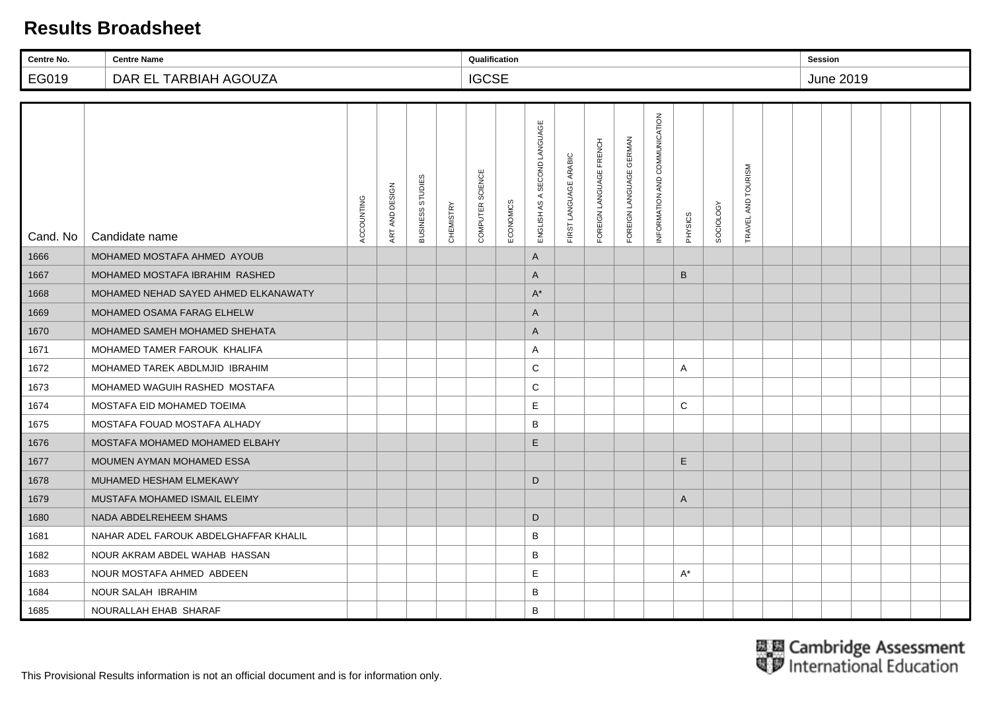| Centre No. | <b>Centre Name</b>                    |            |                |                  |           | Qualification    |           |                                 |                       |                         |                         |                               |         |                  |                        | <b>Session</b> |                  |  |  |
|------------|---------------------------------------|------------|----------------|------------------|-----------|------------------|-----------|---------------------------------|-----------------------|-------------------------|-------------------------|-------------------------------|---------|------------------|------------------------|----------------|------------------|--|--|
| EG019      | DAR EL TARBIAH AGOUZA                 |            |                |                  |           | <b>IGCSE</b>     |           |                                 |                       |                         |                         |                               |         |                  |                        |                | <b>June 2019</b> |  |  |
|            |                                       |            |                |                  |           |                  |           |                                 |                       |                         |                         |                               |         |                  |                        |                |                  |  |  |
| Cand. No   | Candidate name                        | ACCOUNTING | ART AND DESIGN | BUSINESS STUDIES | CHEMISTRY | COMPUTER SCIENCE | ECONOMICS | SECOND LANGUAGE<br>ENGLISH AS A | FIRST LANGUAGE ARABIC | FOREIGN LANGUAGE FRENCH | FOREIGN LANGUAGE GERMAN | INFORMATION AND COMMUNICATION | PHYSICS | <b>SOCIOLOGY</b> | AND TOURISM<br>TRAVEL. |                |                  |  |  |
| 1666       | MOHAMED MOSTAFA AHMED AYOUB           |            |                |                  |           |                  |           | A                               |                       |                         |                         |                               |         |                  |                        |                |                  |  |  |
| 1667       | MOHAMED MOSTAFA IBRAHIM RASHED        |            |                |                  |           |                  |           | A                               |                       |                         |                         |                               | B       |                  |                        |                |                  |  |  |
| 1668       | MOHAMED NEHAD SAYED AHMED ELKANAWATY  |            |                |                  |           |                  |           | $A^*$                           |                       |                         |                         |                               |         |                  |                        |                |                  |  |  |
| 1669       | MOHAMED OSAMA FARAG ELHELW            |            |                |                  |           |                  |           | A                               |                       |                         |                         |                               |         |                  |                        |                |                  |  |  |
| 1670       | MOHAMED SAMEH MOHAMED SHEHATA         |            |                |                  |           |                  |           | A                               |                       |                         |                         |                               |         |                  |                        |                |                  |  |  |
| 1671       | MOHAMED TAMER FAROUK KHALIFA          |            |                |                  |           |                  |           | A                               |                       |                         |                         |                               |         |                  |                        |                |                  |  |  |
| 1672       | MOHAMED TAREK ABDLMJID IBRAHIM        |            |                |                  |           |                  |           | C                               |                       |                         |                         |                               | A       |                  |                        |                |                  |  |  |
| 1673       | MOHAMED WAGUIH RASHED MOSTAFA         |            |                |                  |           |                  |           | C                               |                       |                         |                         |                               |         |                  |                        |                |                  |  |  |
| 1674       | MOSTAFA EID MOHAMED TOEIMA            |            |                |                  |           |                  |           | $\mathsf E$                     |                       |                         |                         |                               | C       |                  |                        |                |                  |  |  |
| 1675       | MOSTAFA FOUAD MOSTAFA ALHADY          |            |                |                  |           |                  |           | B                               |                       |                         |                         |                               |         |                  |                        |                |                  |  |  |
| 1676       | MOSTAFA MOHAMED MOHAMED ELBAHY        |            |                |                  |           |                  |           | E                               |                       |                         |                         |                               |         |                  |                        |                |                  |  |  |
| 1677       | MOUMEN AYMAN MOHAMED ESSA             |            |                |                  |           |                  |           |                                 |                       |                         |                         |                               | E       |                  |                        |                |                  |  |  |
| 1678       | MUHAMED HESHAM ELMEKAWY               |            |                |                  |           |                  |           | D                               |                       |                         |                         |                               |         |                  |                        |                |                  |  |  |
| 1679       | MUSTAFA MOHAMED ISMAIL ELEIMY         |            |                |                  |           |                  |           |                                 |                       |                         |                         |                               | A       |                  |                        |                |                  |  |  |
| 1680       | NADA ABDELREHEEM SHAMS                |            |                |                  |           |                  |           | D                               |                       |                         |                         |                               |         |                  |                        |                |                  |  |  |
| 1681       | NAHAR ADEL FAROUK ABDELGHAFFAR KHALIL |            |                |                  |           |                  |           | B                               |                       |                         |                         |                               |         |                  |                        |                |                  |  |  |
| 1682       | NOUR AKRAM ABDEL WAHAB HASSAN         |            |                |                  |           |                  |           | B                               |                       |                         |                         |                               |         |                  |                        |                |                  |  |  |
| 1683       | NOUR MOSTAFA AHMED ABDEEN             |            |                |                  |           |                  |           | E                               |                       |                         |                         |                               | A*      |                  |                        |                |                  |  |  |
| 1684       | NOUR SALAH IBRAHIM                    |            |                |                  |           |                  |           | B                               |                       |                         |                         |                               |         |                  |                        |                |                  |  |  |
| 1685       | NOURALLAH EHAB SHARAF                 |            |                |                  |           |                  |           | B                               |                       |                         |                         |                               |         |                  |                        |                |                  |  |  |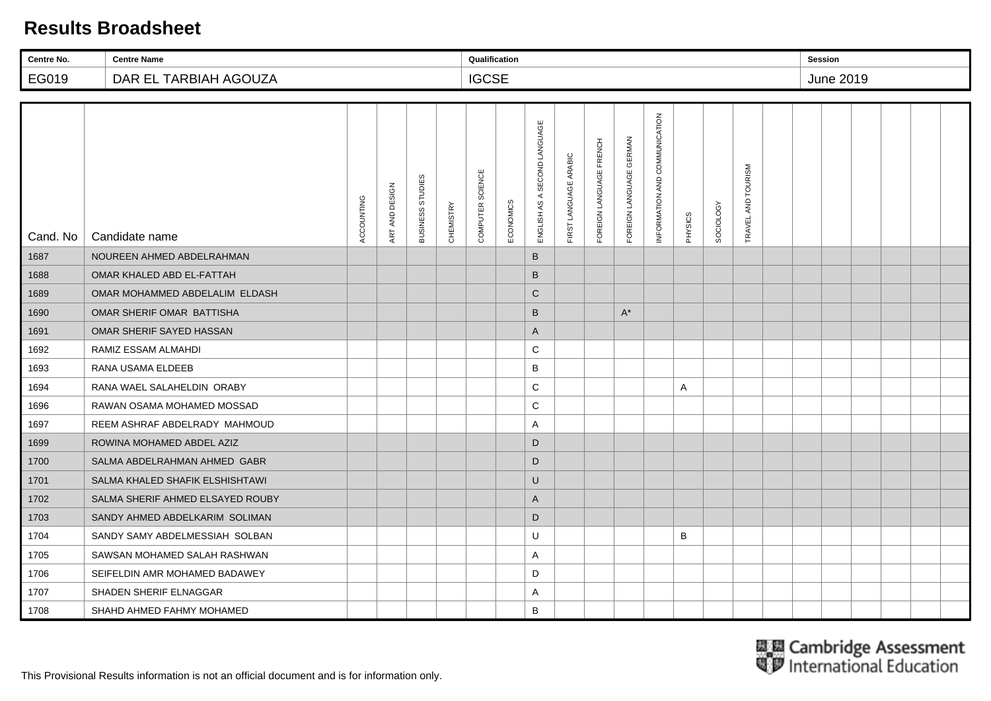| Centre No. | <b>Centre Name</b>               |            |                |                  |           | Qualification    |           |                                 |                       |                         |                         |                               |         |                  |                        | <b>Session</b> |           |  |  |
|------------|----------------------------------|------------|----------------|------------------|-----------|------------------|-----------|---------------------------------|-----------------------|-------------------------|-------------------------|-------------------------------|---------|------------------|------------------------|----------------|-----------|--|--|
| EG019      | DAR EL TARBIAH AGOUZA            |            |                |                  |           | <b>IGCSE</b>     |           |                                 |                       |                         |                         |                               |         |                  |                        |                | June 2019 |  |  |
|            |                                  |            |                |                  |           |                  |           |                                 |                       |                         |                         |                               |         |                  |                        |                |           |  |  |
| Cand. No   | Candidate name                   | ACCOUNTING | ART AND DESIGN | BUSINESS STUDIES | CHEMISTRY | COMPUTER SCIENCE | ECONOMICS | SECOND LANGUAGE<br>ENGLISH AS A | FIRST LANGUAGE ARABIC | FOREIGN LANGUAGE FRENCH | FOREIGN LANGUAGE GERMAN | INFORMATION AND COMMUNICATION | PHYSICS | <b>SOCIOLOGY</b> | AND TOURISM<br>TRAVEL. |                |           |  |  |
| 1687       | NOUREEN AHMED ABDELRAHMAN        |            |                |                  |           |                  |           | B                               |                       |                         |                         |                               |         |                  |                        |                |           |  |  |
| 1688       | OMAR KHALED ABD EL-FATTAH        |            |                |                  |           |                  |           | $\sf B$                         |                       |                         |                         |                               |         |                  |                        |                |           |  |  |
| 1689       | OMAR MOHAMMED ABDELALIM ELDASH   |            |                |                  |           |                  |           | $\mathsf{C}$                    |                       |                         |                         |                               |         |                  |                        |                |           |  |  |
| 1690       | OMAR SHERIF OMAR BATTISHA        |            |                |                  |           |                  |           | B                               |                       |                         | $A^*$                   |                               |         |                  |                        |                |           |  |  |
| 1691       | OMAR SHERIF SAYED HASSAN         |            |                |                  |           |                  |           | A                               |                       |                         |                         |                               |         |                  |                        |                |           |  |  |
| 1692       | RAMIZ ESSAM ALMAHDI              |            |                |                  |           |                  |           | C                               |                       |                         |                         |                               |         |                  |                        |                |           |  |  |
| 1693       | RANA USAMA ELDEEB                |            |                |                  |           |                  |           | В                               |                       |                         |                         |                               |         |                  |                        |                |           |  |  |
| 1694       | RANA WAEL SALAHELDIN ORABY       |            |                |                  |           |                  |           | C                               |                       |                         |                         |                               | A       |                  |                        |                |           |  |  |
| 1696       | RAWAN OSAMA MOHAMED MOSSAD       |            |                |                  |           |                  |           | C                               |                       |                         |                         |                               |         |                  |                        |                |           |  |  |
| 1697       | REEM ASHRAF ABDELRADY MAHMOUD    |            |                |                  |           |                  |           | A                               |                       |                         |                         |                               |         |                  |                        |                |           |  |  |
| 1699       | ROWINA MOHAMED ABDEL AZIZ        |            |                |                  |           |                  |           | D                               |                       |                         |                         |                               |         |                  |                        |                |           |  |  |
| 1700       | SALMA ABDELRAHMAN AHMED GABR     |            |                |                  |           |                  |           | D                               |                       |                         |                         |                               |         |                  |                        |                |           |  |  |
| 1701       | SALMA KHALED SHAFIK ELSHISHTAWI  |            |                |                  |           |                  |           | U                               |                       |                         |                         |                               |         |                  |                        |                |           |  |  |
| 1702       | SALMA SHERIF AHMED ELSAYED ROUBY |            |                |                  |           |                  |           | A                               |                       |                         |                         |                               |         |                  |                        |                |           |  |  |
| 1703       | SANDY AHMED ABDELKARIM SOLIMAN   |            |                |                  |           |                  |           | D                               |                       |                         |                         |                               |         |                  |                        |                |           |  |  |
| 1704       | SANDY SAMY ABDELMESSIAH SOLBAN   |            |                |                  |           |                  |           | U                               |                       |                         |                         |                               | B       |                  |                        |                |           |  |  |
| 1705       | SAWSAN MOHAMED SALAH RASHWAN     |            |                |                  |           |                  |           | A                               |                       |                         |                         |                               |         |                  |                        |                |           |  |  |
| 1706       | SEIFELDIN AMR MOHAMED BADAWEY    |            |                |                  |           |                  |           | D                               |                       |                         |                         |                               |         |                  |                        |                |           |  |  |
| 1707       | SHADEN SHERIF ELNAGGAR           |            |                |                  |           |                  |           | Α                               |                       |                         |                         |                               |         |                  |                        |                |           |  |  |
| 1708       | SHAHD AHMED FAHMY MOHAMED        |            |                |                  |           |                  |           | B                               |                       |                         |                         |                               |         |                  |                        |                |           |  |  |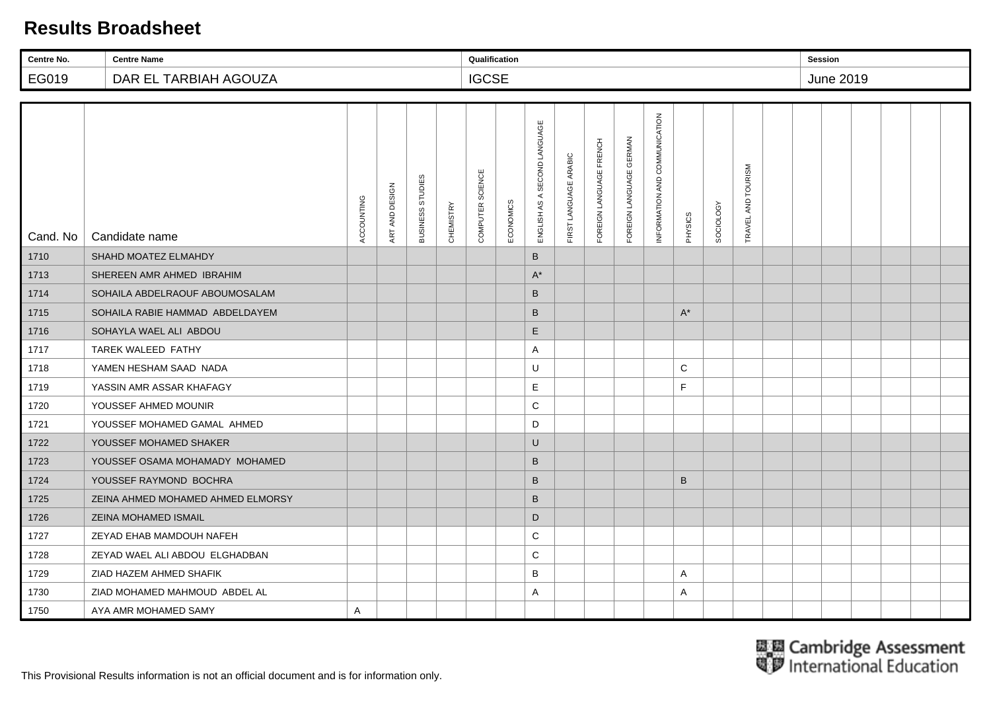| Centre No. | <b>Centre Name</b>                |            |                |                  |           | Qualification    |           |                                 |                       |                         |                         |                               |         |                  |                        | <b>Session</b> |                  |  |  |
|------------|-----------------------------------|------------|----------------|------------------|-----------|------------------|-----------|---------------------------------|-----------------------|-------------------------|-------------------------|-------------------------------|---------|------------------|------------------------|----------------|------------------|--|--|
| EG019      | DAR EL TARBIAH AGOUZA             |            |                |                  |           | <b>IGCSE</b>     |           |                                 |                       |                         |                         |                               |         |                  |                        |                | <b>June 2019</b> |  |  |
|            |                                   |            |                |                  |           |                  |           |                                 |                       |                         |                         |                               |         |                  |                        |                |                  |  |  |
| Cand. No   | Candidate name                    | ACCOUNTING | ART AND DESIGN | BUSINESS STUDIES | CHEMISTRY | COMPUTER SCIENCE | ECONOMICS | SECOND LANGUAGE<br>ENGLISH AS A | FIRST LANGUAGE ARABIC | FOREIGN LANGUAGE FRENCH | FOREIGN LANGUAGE GERMAN | INFORMATION AND COMMUNICATION | PHYSICS | <b>SOCIOLOGY</b> | AND TOURISM<br>TRAVEL. |                |                  |  |  |
| 1710       | SHAHD MOATEZ ELMAHDY              |            |                |                  |           |                  |           | B                               |                       |                         |                         |                               |         |                  |                        |                |                  |  |  |
| 1713       | SHEREEN AMR AHMED IBRAHIM         |            |                |                  |           |                  |           | $A^*$                           |                       |                         |                         |                               |         |                  |                        |                |                  |  |  |
| 1714       | SOHAILA ABDELRAOUF ABOUMOSALAM    |            |                |                  |           |                  |           | B                               |                       |                         |                         |                               |         |                  |                        |                |                  |  |  |
| 1715       | SOHAILA RABIE HAMMAD ABDELDAYEM   |            |                |                  |           |                  |           | B                               |                       |                         |                         |                               | $A^*$   |                  |                        |                |                  |  |  |
| 1716       | SOHAYLA WAEL ALI ABDOU            |            |                |                  |           |                  |           | E                               |                       |                         |                         |                               |         |                  |                        |                |                  |  |  |
| 1717       | TAREK WALEED FATHY                |            |                |                  |           |                  |           | A                               |                       |                         |                         |                               |         |                  |                        |                |                  |  |  |
| 1718       | YAMEN HESHAM SAAD NADA            |            |                |                  |           |                  |           | U                               |                       |                         |                         |                               | C       |                  |                        |                |                  |  |  |
| 1719       | YASSIN AMR ASSAR KHAFAGY          |            |                |                  |           |                  |           | Е                               |                       |                         |                         |                               | F       |                  |                        |                |                  |  |  |
| 1720       | YOUSSEF AHMED MOUNIR              |            |                |                  |           |                  |           | $\mathbf C$                     |                       |                         |                         |                               |         |                  |                        |                |                  |  |  |
| 1721       | YOUSSEF MOHAMED GAMAL AHMED       |            |                |                  |           |                  |           | D                               |                       |                         |                         |                               |         |                  |                        |                |                  |  |  |
| 1722       | YOUSSEF MOHAMED SHAKER            |            |                |                  |           |                  |           | U                               |                       |                         |                         |                               |         |                  |                        |                |                  |  |  |
| 1723       | YOUSSEF OSAMA MOHAMADY MOHAMED    |            |                |                  |           |                  |           | B                               |                       |                         |                         |                               |         |                  |                        |                |                  |  |  |
| 1724       | YOUSSEF RAYMOND BOCHRA            |            |                |                  |           |                  |           | $\sf B$                         |                       |                         |                         |                               | B       |                  |                        |                |                  |  |  |
| 1725       | ZEINA AHMED MOHAMED AHMED ELMORSY |            |                |                  |           |                  |           | B                               |                       |                         |                         |                               |         |                  |                        |                |                  |  |  |
| 1726       | ZEINA MOHAMED ISMAIL              |            |                |                  |           |                  |           | D                               |                       |                         |                         |                               |         |                  |                        |                |                  |  |  |
| 1727       | ZEYAD EHAB MAMDOUH NAFEH          |            |                |                  |           |                  |           | C                               |                       |                         |                         |                               |         |                  |                        |                |                  |  |  |
| 1728       | ZEYAD WAEL ALI ABDOU ELGHADBAN    |            |                |                  |           |                  |           | $\mathbf C$                     |                       |                         |                         |                               |         |                  |                        |                |                  |  |  |
| 1729       | ZIAD HAZEM AHMED SHAFIK           |            |                |                  |           |                  |           | B                               |                       |                         |                         |                               | A       |                  |                        |                |                  |  |  |
| 1730       | ZIAD MOHAMED MAHMOUD ABDEL AL     |            |                |                  |           |                  |           | A                               |                       |                         |                         |                               | A       |                  |                        |                |                  |  |  |
| 1750       | AYA AMR MOHAMED SAMY              | A          |                |                  |           |                  |           |                                 |                       |                         |                         |                               |         |                  |                        |                |                  |  |  |

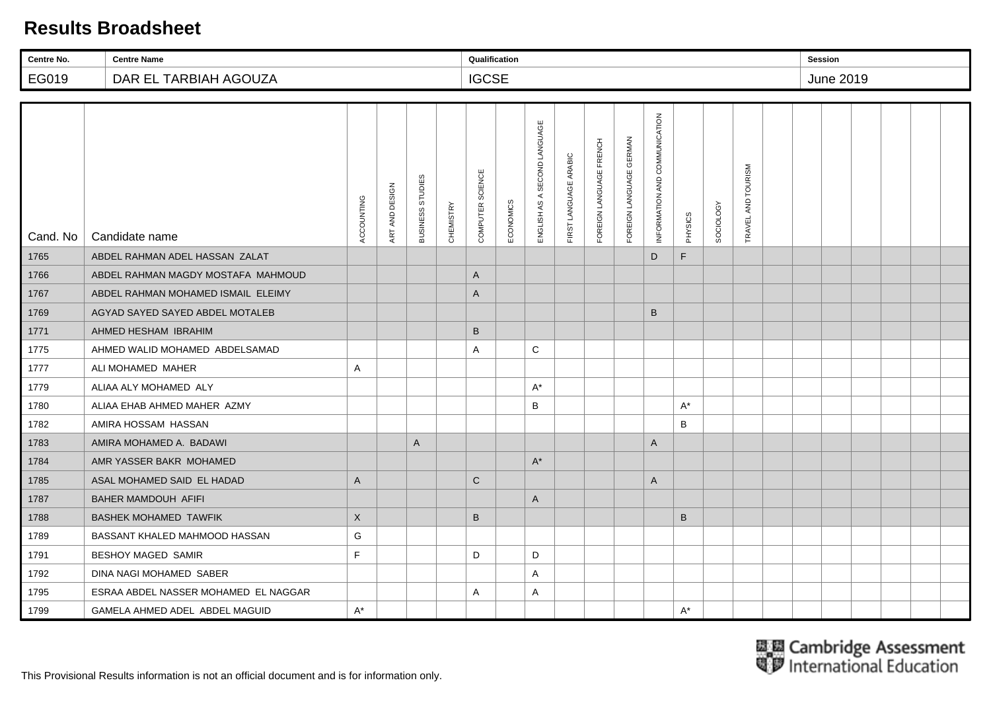| Centre No. | <b>Centre Name</b>                   |              |                |                  |                  | Qualification    |           |                              |                       |                         |                         |                               |         |                  |                        | <b>Session</b> |                  |  |  |
|------------|--------------------------------------|--------------|----------------|------------------|------------------|------------------|-----------|------------------------------|-----------------------|-------------------------|-------------------------|-------------------------------|---------|------------------|------------------------|----------------|------------------|--|--|
| EG019      | DAR EL TARBIAH AGOUZA                |              |                |                  |                  | <b>IGCSE</b>     |           |                              |                       |                         |                         |                               |         |                  |                        |                | <b>June 2019</b> |  |  |
|            |                                      |              |                |                  |                  |                  |           |                              |                       |                         |                         |                               |         |                  |                        |                |                  |  |  |
| Cand. No   | Candidate name                       | ACCOUNTING   | ART AND DESIGN | BUSINESS STUDIES | <b>CHEMISTRY</b> | COMPUTER SCIENCE | ECONOMICS | ENGLISH AS A SECOND LANGUAGE | FIRST LANGUAGE ARABIC | FOREIGN LANGUAGE FRENCH | FOREIGN LANGUAGE GERMAN | INFORMATION AND COMMUNICATION | PHYSICS | <b>SOCIOLOGY</b> | AND TOURISM<br>TRAVEL. |                |                  |  |  |
| 1765       | ABDEL RAHMAN ADEL HASSAN ZALAT       |              |                |                  |                  |                  |           |                              |                       |                         |                         | D                             | F.      |                  |                        |                |                  |  |  |
| 1766       | ABDEL RAHMAN MAGDY MOSTAFA MAHMOUD   |              |                |                  |                  | $\mathsf{A}$     |           |                              |                       |                         |                         |                               |         |                  |                        |                |                  |  |  |
| 1767       | ABDEL RAHMAN MOHAMED ISMAIL ELEIMY   |              |                |                  |                  | A                |           |                              |                       |                         |                         |                               |         |                  |                        |                |                  |  |  |
| 1769       | AGYAD SAYED SAYED ABDEL MOTALEB      |              |                |                  |                  |                  |           |                              |                       |                         |                         | B                             |         |                  |                        |                |                  |  |  |
| 1771       | AHMED HESHAM IBRAHIM                 |              |                |                  |                  | $\sf B$          |           |                              |                       |                         |                         |                               |         |                  |                        |                |                  |  |  |
| 1775       | AHMED WALID MOHAMED ABDELSAMAD       |              |                |                  |                  | Α                |           | C                            |                       |                         |                         |                               |         |                  |                        |                |                  |  |  |
| 1777       | ALI MOHAMED MAHER                    | A            |                |                  |                  |                  |           |                              |                       |                         |                         |                               |         |                  |                        |                |                  |  |  |
| 1779       | ALIAA ALY MOHAMED ALY                |              |                |                  |                  |                  |           | $A^*$                        |                       |                         |                         |                               |         |                  |                        |                |                  |  |  |
| 1780       | ALIAA EHAB AHMED MAHER AZMY          |              |                |                  |                  |                  |           | B                            |                       |                         |                         |                               | $A^*$   |                  |                        |                |                  |  |  |
| 1782       | AMIRA HOSSAM HASSAN                  |              |                |                  |                  |                  |           |                              |                       |                         |                         |                               | B       |                  |                        |                |                  |  |  |
| 1783       | AMIRA MOHAMED A. BADAWI              |              |                | $\mathsf{A}$     |                  |                  |           |                              |                       |                         |                         | A                             |         |                  |                        |                |                  |  |  |
| 1784       | AMR YASSER BAKR MOHAMED              |              |                |                  |                  |                  |           | $A^*$                        |                       |                         |                         |                               |         |                  |                        |                |                  |  |  |
| 1785       | ASAL MOHAMED SAID EL HADAD           | $\mathsf{A}$ |                |                  |                  | $\mathbf C$      |           |                              |                       |                         |                         | A                             |         |                  |                        |                |                  |  |  |
| 1787       | BAHER MAMDOUH AFIFI                  |              |                |                  |                  |                  |           | A                            |                       |                         |                         |                               |         |                  |                        |                |                  |  |  |
| 1788       | <b>BASHEK MOHAMED TAWFIK</b>         | $\times$     |                |                  |                  | $\sf B$          |           |                              |                       |                         |                         |                               | B       |                  |                        |                |                  |  |  |
| 1789       | BASSANT KHALED MAHMOOD HASSAN        | G            |                |                  |                  |                  |           |                              |                       |                         |                         |                               |         |                  |                        |                |                  |  |  |
| 1791       | <b>BESHOY MAGED SAMIR</b>            | F            |                |                  |                  | D                |           | D                            |                       |                         |                         |                               |         |                  |                        |                |                  |  |  |
| 1792       | DINA NAGI MOHAMED SABER              |              |                |                  |                  |                  |           | Α                            |                       |                         |                         |                               |         |                  |                        |                |                  |  |  |
| 1795       | ESRAA ABDEL NASSER MOHAMED EL NAGGAR |              |                |                  |                  | Α                |           | A                            |                       |                         |                         |                               |         |                  |                        |                |                  |  |  |
| 1799       | GAMELA AHMED ADEL ABDEL MAGUID       | $A^*$        |                |                  |                  |                  |           |                              |                       |                         |                         |                               | $A^*$   |                  |                        |                |                  |  |  |

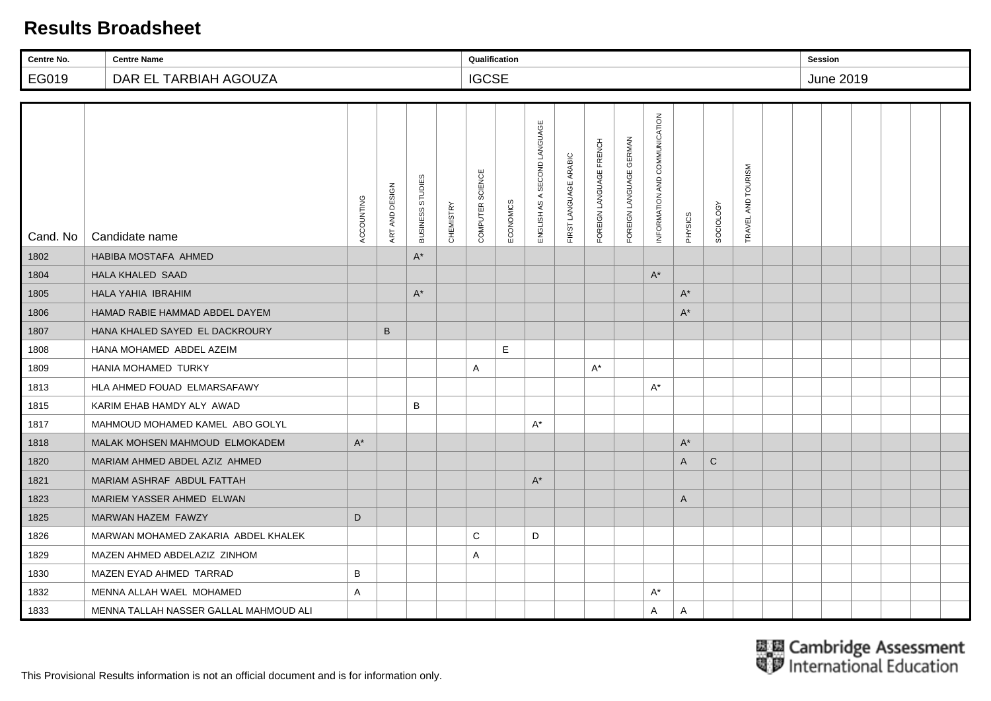| Centre No. | <b>Centre Name</b>                     |            |                |                  |                  | Qualification    |           |                              |                       |                         |                         |                               |         |                  |                    | <b>Session</b> |           |  |  |
|------------|----------------------------------------|------------|----------------|------------------|------------------|------------------|-----------|------------------------------|-----------------------|-------------------------|-------------------------|-------------------------------|---------|------------------|--------------------|----------------|-----------|--|--|
| EG019      | DAR EL TARBIAH AGOUZA                  |            |                |                  |                  | <b>IGCSE</b>     |           |                              |                       |                         |                         |                               |         |                  |                    |                | June 2019 |  |  |
|            |                                        |            |                |                  |                  |                  |           |                              |                       |                         |                         |                               |         |                  |                    |                |           |  |  |
| Cand. No   | Candidate name                         | ACCOUNTING | ART AND DESIGN | BUSINESS STUDIES | <b>CHEMISTRY</b> | COMPUTER SCIENCE | ECONOMICS | ENGLISH AS A SECOND LANGUAGE | FIRST LANGUAGE ARABIC | FOREIGN LANGUAGE FRENCH | FOREIGN LANGUAGE GERMAN | INFORMATION AND COMMUNICATION | PHYSICS | <b>SOCIOLOGY</b> | TRAVEL AND TOURISM |                |           |  |  |
| 1802       | <b>HABIBA MOSTAFA AHMED</b>            |            |                | $A^*$            |                  |                  |           |                              |                       |                         |                         |                               |         |                  |                    |                |           |  |  |
| 1804       | <b>HALA KHALED SAAD</b>                |            |                |                  |                  |                  |           |                              |                       |                         |                         | $\mathsf{A}^{\star}$          |         |                  |                    |                |           |  |  |
| 1805       | HALA YAHIA IBRAHIM                     |            |                | $A^*$            |                  |                  |           |                              |                       |                         |                         |                               | $A^*$   |                  |                    |                |           |  |  |
| 1806       | HAMAD RABIE HAMMAD ABDEL DAYEM         |            |                |                  |                  |                  |           |                              |                       |                         |                         |                               | $A^*$   |                  |                    |                |           |  |  |
| 1807       | HANA KHALED SAYED EL DACKROURY         |            | B              |                  |                  |                  |           |                              |                       |                         |                         |                               |         |                  |                    |                |           |  |  |
| 1808       | HANA MOHAMED ABDEL AZEIM               |            |                |                  |                  |                  | E         |                              |                       |                         |                         |                               |         |                  |                    |                |           |  |  |
| 1809       | HANIA MOHAMED TURKY                    |            |                |                  |                  | Α                |           |                              |                       | $A^*$                   |                         |                               |         |                  |                    |                |           |  |  |
| 1813       | HLA AHMED FOUAD ELMARSAFAWY            |            |                |                  |                  |                  |           |                              |                       |                         |                         | $A^*$                         |         |                  |                    |                |           |  |  |
| 1815       | KARIM EHAB HAMDY ALY AWAD              |            |                | B                |                  |                  |           |                              |                       |                         |                         |                               |         |                  |                    |                |           |  |  |
| 1817       | MAHMOUD MOHAMED KAMEL ABO GOLYL        |            |                |                  |                  |                  |           | A*                           |                       |                         |                         |                               |         |                  |                    |                |           |  |  |
| 1818       | MALAK MOHSEN MAHMOUD ELMOKADEM         | $A^*$      |                |                  |                  |                  |           |                              |                       |                         |                         |                               | $A^*$   |                  |                    |                |           |  |  |
| 1820       | MARIAM AHMED ABDEL AZIZ AHMED          |            |                |                  |                  |                  |           |                              |                       |                         |                         |                               | A       | $\mathsf{C}$     |                    |                |           |  |  |
| 1821       | MARIAM ASHRAF ABDUL FATTAH             |            |                |                  |                  |                  |           | $A^*$                        |                       |                         |                         |                               |         |                  |                    |                |           |  |  |
| 1823       | MARIEM YASSER AHMED ELWAN              |            |                |                  |                  |                  |           |                              |                       |                         |                         |                               | A       |                  |                    |                |           |  |  |
| 1825       | MARWAN HAZEM FAWZY                     | D          |                |                  |                  |                  |           |                              |                       |                         |                         |                               |         |                  |                    |                |           |  |  |
| 1826       | MARWAN MOHAMED ZAKARIA ABDEL KHALEK    |            |                |                  |                  | $\mathsf{C}$     |           | D                            |                       |                         |                         |                               |         |                  |                    |                |           |  |  |
| 1829       | MAZEN AHMED ABDELAZIZ ZINHOM           |            |                |                  |                  | Α                |           |                              |                       |                         |                         |                               |         |                  |                    |                |           |  |  |
| 1830       | MAZEN EYAD AHMED TARRAD                | B          |                |                  |                  |                  |           |                              |                       |                         |                         |                               |         |                  |                    |                |           |  |  |
| 1832       | MENNA ALLAH WAEL MOHAMED               | A          |                |                  |                  |                  |           |                              |                       |                         |                         | $A^*$                         |         |                  |                    |                |           |  |  |
| 1833       | MENNA TALLAH NASSER GALLAL MAHMOUD ALI |            |                |                  |                  |                  |           |                              |                       |                         |                         | Α                             | A       |                  |                    |                |           |  |  |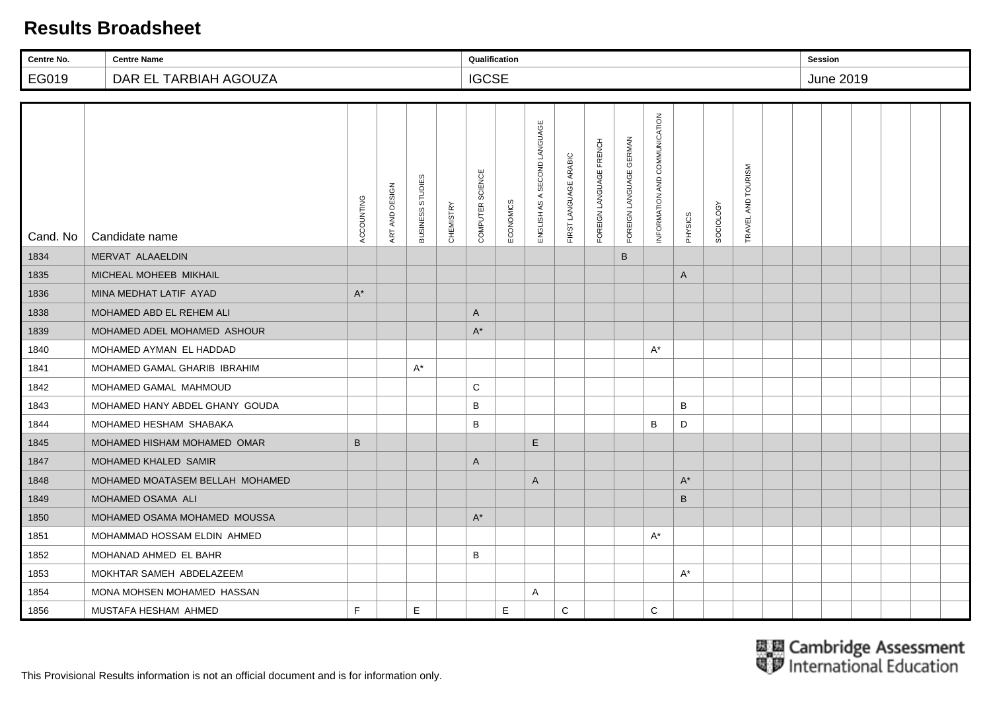| Centre No. | <b>Centre Name</b>              |            |                |                  |           | Qualification    |           |                                 |                       |                         |                         |                               |         |                  |                    | <b>Session</b> |           |  |  |
|------------|---------------------------------|------------|----------------|------------------|-----------|------------------|-----------|---------------------------------|-----------------------|-------------------------|-------------------------|-------------------------------|---------|------------------|--------------------|----------------|-----------|--|--|
| EG019      | DAR EL TARBIAH AGOUZA           |            |                |                  |           | <b>IGCSE</b>     |           |                                 |                       |                         |                         |                               |         |                  |                    |                | June 2019 |  |  |
|            |                                 |            |                |                  |           |                  |           |                                 |                       |                         |                         |                               |         |                  |                    |                |           |  |  |
| Cand. No   | Candidate name                  | ACCOUNTING | ART AND DESIGN | BUSINESS STUDIES | CHEMISTRY | COMPUTER SCIENCE | ECONOMICS | SECOND LANGUAGE<br>ENGLISH AS A | FIRST LANGUAGE ARABIC | FOREIGN LANGUAGE FRENCH | FOREIGN LANGUAGE GERMAN | INFORMATION AND COMMUNICATION | PHYSICS | <b>SOCIOLOGY</b> | TRAVEL AND TOURISM |                |           |  |  |
| 1834       | MERVAT ALAAELDIN                |            |                |                  |           |                  |           |                                 |                       |                         | B                       |                               |         |                  |                    |                |           |  |  |
| 1835       | MICHEAL MOHEEB MIKHAIL          |            |                |                  |           |                  |           |                                 |                       |                         |                         |                               | A       |                  |                    |                |           |  |  |
| 1836       | MINA MEDHAT LATIF AYAD          | $A^*$      |                |                  |           |                  |           |                                 |                       |                         |                         |                               |         |                  |                    |                |           |  |  |
| 1838       | MOHAMED ABD EL REHEM ALI        |            |                |                  |           | A                |           |                                 |                       |                         |                         |                               |         |                  |                    |                |           |  |  |
| 1839       | MOHAMED ADEL MOHAMED ASHOUR     |            |                |                  |           | $A^*$            |           |                                 |                       |                         |                         |                               |         |                  |                    |                |           |  |  |
| 1840       | MOHAMED AYMAN EL HADDAD         |            |                |                  |           |                  |           |                                 |                       |                         |                         | $A^*$                         |         |                  |                    |                |           |  |  |
| 1841       | MOHAMED GAMAL GHARIB IBRAHIM    |            |                | $A^*$            |           |                  |           |                                 |                       |                         |                         |                               |         |                  |                    |                |           |  |  |
| 1842       | MOHAMED GAMAL MAHMOUD           |            |                |                  |           | $\mathbf C$      |           |                                 |                       |                         |                         |                               |         |                  |                    |                |           |  |  |
| 1843       | MOHAMED HANY ABDEL GHANY GOUDA  |            |                |                  |           | B                |           |                                 |                       |                         |                         |                               | B       |                  |                    |                |           |  |  |
| 1844       | MOHAMED HESHAM SHABAKA          |            |                |                  |           | B                |           |                                 |                       |                         |                         | B                             | D       |                  |                    |                |           |  |  |
| 1845       | MOHAMED HISHAM MOHAMED OMAR     | B          |                |                  |           |                  |           | E                               |                       |                         |                         |                               |         |                  |                    |                |           |  |  |
| 1847       | MOHAMED KHALED SAMIR            |            |                |                  |           | $\mathsf{A}$     |           |                                 |                       |                         |                         |                               |         |                  |                    |                |           |  |  |
| 1848       | MOHAMED MOATASEM BELLAH MOHAMED |            |                |                  |           |                  |           | A                               |                       |                         |                         |                               | $A^*$   |                  |                    |                |           |  |  |
| 1849       | MOHAMED OSAMA ALI               |            |                |                  |           |                  |           |                                 |                       |                         |                         |                               | B       |                  |                    |                |           |  |  |
| 1850       | MOHAMED OSAMA MOHAMED MOUSSA    |            |                |                  |           | $A^*$            |           |                                 |                       |                         |                         |                               |         |                  |                    |                |           |  |  |
| 1851       | MOHAMMAD HOSSAM ELDIN AHMED     |            |                |                  |           |                  |           |                                 |                       |                         |                         | $\mathsf{A}^\star$            |         |                  |                    |                |           |  |  |
| 1852       | MOHANAD AHMED EL BAHR           |            |                |                  |           | B                |           |                                 |                       |                         |                         |                               |         |                  |                    |                |           |  |  |
| 1853       | MOKHTAR SAMEH ABDELAZEEM        |            |                |                  |           |                  |           |                                 |                       |                         |                         |                               | $A^*$   |                  |                    |                |           |  |  |
| 1854       | MONA MOHSEN MOHAMED HASSAN      |            |                |                  |           |                  |           | Α                               |                       |                         |                         |                               |         |                  |                    |                |           |  |  |
| 1856       | MUSTAFA HESHAM AHMED            | E          |                | E                |           |                  | E         |                                 | $\mathsf C$           |                         |                         | C                             |         |                  |                    |                |           |  |  |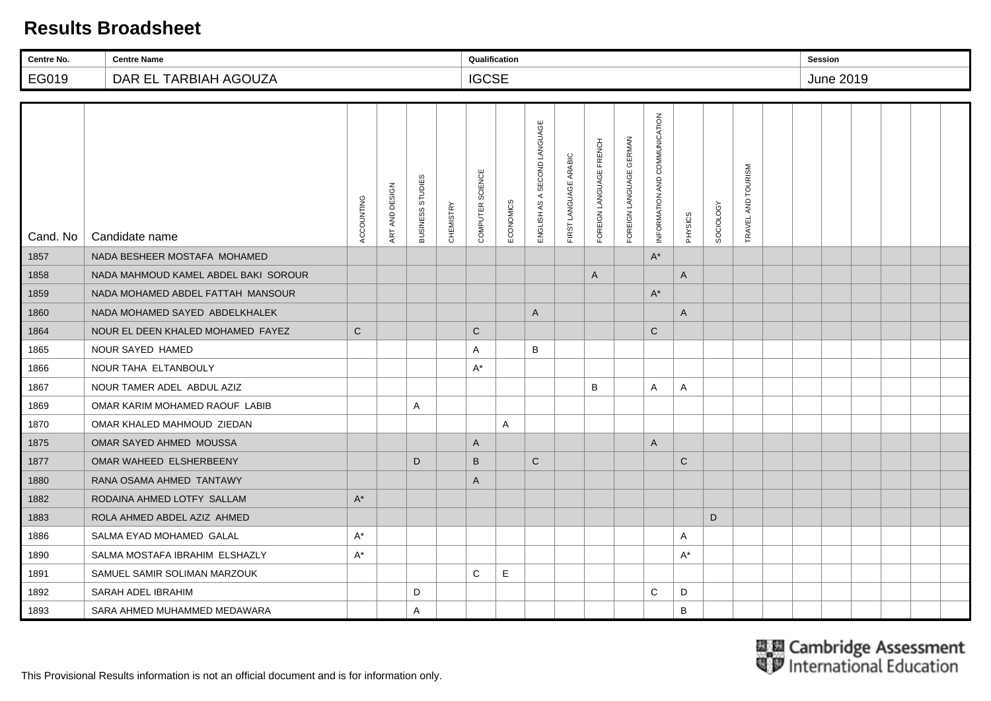| Centre No. | <b>Centre Name</b>                   |             |                |                  |           | Qualification    |           |                                 |                       |                         |                                   |                               |              |           |                        | <b>Session</b> |           |  |  |
|------------|--------------------------------------|-------------|----------------|------------------|-----------|------------------|-----------|---------------------------------|-----------------------|-------------------------|-----------------------------------|-------------------------------|--------------|-----------|------------------------|----------------|-----------|--|--|
| EG019      | DAR EL TARBIAH AGOUZA                |             |                |                  |           | <b>IGCSE</b>     |           |                                 |                       |                         |                                   |                               |              |           |                        |                | June 2019 |  |  |
|            |                                      |             |                |                  |           |                  |           |                                 |                       |                         |                                   |                               |              |           |                        |                |           |  |  |
| Cand. No   | Candidate name                       | ACCOUNTING  | ART AND DESIGN | BUSINESS STUDIES | CHEMISTRY | COMPUTER SCIENCE | ECONOMICS | SECOND LANGUAGE<br>ENGLISH AS A | FIRST LANGUAGE ARABIC | FOREIGN LANGUAGE FRENCH | <b>GERMAN</b><br>FOREIGN LANGUAGE | INFORMATION AND COMMUNICATION | PHYSICS      | SOCIOLOGY | AND TOURISM<br>TRAVEL. |                |           |  |  |
| 1857       | NADA BESHEER MOSTAFA MOHAMED         |             |                |                  |           |                  |           |                                 |                       |                         |                                   | $\mathsf{A}^*$                |              |           |                        |                |           |  |  |
| 1858       | NADA MAHMOUD KAMEL ABDEL BAKI SOROUR |             |                |                  |           |                  |           |                                 |                       | A                       |                                   |                               | A            |           |                        |                |           |  |  |
| 1859       | NADA MOHAMED ABDEL FATTAH MANSOUR    |             |                |                  |           |                  |           |                                 |                       |                         |                                   | $A^*$                         |              |           |                        |                |           |  |  |
| 1860       | NADA MOHAMED SAYED ABDELKHALEK       |             |                |                  |           |                  |           | A                               |                       |                         |                                   |                               | A            |           |                        |                |           |  |  |
| 1864       | NOUR EL DEEN KHALED MOHAMED FAYEZ    | $\mathbf C$ |                |                  |           | $\mathbf C$      |           |                                 |                       |                         |                                   | $\mathbf C$                   |              |           |                        |                |           |  |  |
| 1865       | NOUR SAYED HAMED                     |             |                |                  |           | $\overline{A}$   |           | B                               |                       |                         |                                   |                               |              |           |                        |                |           |  |  |
| 1866       | NOUR TAHA ELTANBOULY                 |             |                |                  |           | $A^*$            |           |                                 |                       |                         |                                   |                               |              |           |                        |                |           |  |  |
| 1867       | NOUR TAMER ADEL ABDUL AZIZ           |             |                |                  |           |                  |           |                                 |                       | B                       |                                   | A                             | A            |           |                        |                |           |  |  |
| 1869       | OMAR KARIM MOHAMED RAOUF LABIB       |             |                | A                |           |                  |           |                                 |                       |                         |                                   |                               |              |           |                        |                |           |  |  |
| 1870       | OMAR KHALED MAHMOUD ZIEDAN           |             |                |                  |           |                  | A         |                                 |                       |                         |                                   |                               |              |           |                        |                |           |  |  |
| 1875       | OMAR SAYED AHMED MOUSSA              |             |                |                  |           | $\overline{A}$   |           |                                 |                       |                         |                                   | $\overline{A}$                |              |           |                        |                |           |  |  |
| 1877       | OMAR WAHEED ELSHERBEENY              |             |                | D                |           | B                |           | $\mathsf{C}$                    |                       |                         |                                   |                               | $\mathsf{C}$ |           |                        |                |           |  |  |
| 1880       | RANA OSAMA AHMED TANTAWY             |             |                |                  |           | $\overline{A}$   |           |                                 |                       |                         |                                   |                               |              |           |                        |                |           |  |  |
| 1882       | RODAINA AHMED LOTFY SALLAM           | $A^*$       |                |                  |           |                  |           |                                 |                       |                         |                                   |                               |              |           |                        |                |           |  |  |
| 1883       | ROLA AHMED ABDEL AZIZ AHMED          |             |                |                  |           |                  |           |                                 |                       |                         |                                   |                               |              | D         |                        |                |           |  |  |
| 1886       | SALMA EYAD MOHAMED GALAL             | $A^*$       |                |                  |           |                  |           |                                 |                       |                         |                                   |                               | Α            |           |                        |                |           |  |  |
| 1890       | SALMA MOSTAFA IBRAHIM ELSHAZLY       | $A^*$       |                |                  |           |                  |           |                                 |                       |                         |                                   |                               | A*           |           |                        |                |           |  |  |
| 1891       | SAMUEL SAMIR SOLIMAN MARZOUK         |             |                |                  |           | C                | Е         |                                 |                       |                         |                                   |                               |              |           |                        |                |           |  |  |
| 1892       | SARAH ADEL IBRAHIM                   |             |                | D                |           |                  |           |                                 |                       |                         |                                   | C                             | D            |           |                        |                |           |  |  |
| 1893       | SARA AHMED MUHAMMED MEDAWARA         |             |                | $\mathsf{A}$     |           |                  |           |                                 |                       |                         |                                   |                               | B            |           |                        |                |           |  |  |

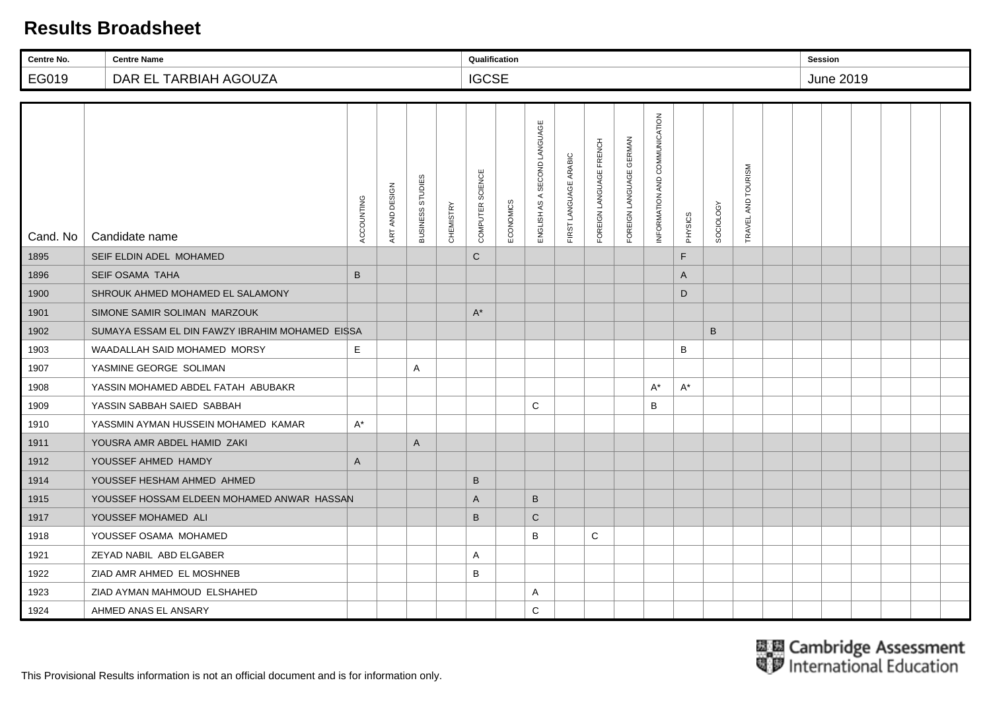| Centre No. | <b>Centre Name</b>                              |              |                |                  |                  | Qualification    |           |                                 |                       |                         |                            |                               |         |           |                        | Session |           |  |  |
|------------|-------------------------------------------------|--------------|----------------|------------------|------------------|------------------|-----------|---------------------------------|-----------------------|-------------------------|----------------------------|-------------------------------|---------|-----------|------------------------|---------|-----------|--|--|
| EG019      | DAR EL TARBIAH AGOUZA                           |              |                |                  |                  | <b>IGCSE</b>     |           |                                 |                       |                         |                            |                               |         |           |                        |         | June 2019 |  |  |
|            |                                                 |              |                |                  |                  |                  |           |                                 |                       |                         |                            |                               |         |           |                        |         |           |  |  |
| Cand. No   | Candidate name                                  | ACCOUNTING   | ART AND DESIGN | BUSINESS STUDIES | <b>CHEMISTRY</b> | COMPUTER SCIENCE | ECONOMICS | AS A SECOND LANGUAGE<br>ENGLISH | FIRST LANGUAGE ARABIC | FOREIGN LANGUAGE FRENCH | GERMAN<br>FOREIGN LANGUAGE | INFORMATION AND COMMUNICATION | PHYSICS | SOCIOLOGY | AND TOURISM<br>TRAVEL. |         |           |  |  |
| 1895       | SEIF ELDIN ADEL MOHAMED                         |              |                |                  |                  | $\mathsf{C}$     |           |                                 |                       |                         |                            |                               | F.      |           |                        |         |           |  |  |
| 1896       | <b>SEIF OSAMA TAHA</b>                          | $\, {\bf B}$ |                |                  |                  |                  |           |                                 |                       |                         |                            |                               | A       |           |                        |         |           |  |  |
| 1900       | SHROUK AHMED MOHAMED EL SALAMONY                |              |                |                  |                  |                  |           |                                 |                       |                         |                            |                               | D       |           |                        |         |           |  |  |
| 1901       | SIMONE SAMIR SOLIMAN MARZOUK                    |              |                |                  |                  | $A^*$            |           |                                 |                       |                         |                            |                               |         |           |                        |         |           |  |  |
| 1902       | SUMAYA ESSAM EL DIN FAWZY IBRAHIM MOHAMED EISSA |              |                |                  |                  |                  |           |                                 |                       |                         |                            |                               |         | $\sf B$   |                        |         |           |  |  |
| 1903       | WAADALLAH SAID MOHAMED MORSY                    | E            |                |                  |                  |                  |           |                                 |                       |                         |                            |                               | B       |           |                        |         |           |  |  |
| 1907       | YASMINE GEORGE SOLIMAN                          |              |                | A                |                  |                  |           |                                 |                       |                         |                            |                               |         |           |                        |         |           |  |  |
| 1908       | YASSIN MOHAMED ABDEL FATAH ABUBAKR              |              |                |                  |                  |                  |           |                                 |                       |                         |                            | $A^*$                         | A*      |           |                        |         |           |  |  |
| 1909       | YASSIN SABBAH SAIED SABBAH                      |              |                |                  |                  |                  |           | C                               |                       |                         |                            | B                             |         |           |                        |         |           |  |  |
| 1910       | YASSMIN AYMAN HUSSEIN MOHAMED KAMAR             | $A^*$        |                |                  |                  |                  |           |                                 |                       |                         |                            |                               |         |           |                        |         |           |  |  |
| 1911       | YOUSRA AMR ABDEL HAMID ZAKI                     |              |                | A                |                  |                  |           |                                 |                       |                         |                            |                               |         |           |                        |         |           |  |  |
| 1912       | YOUSSEF AHMED HAMDY                             | $\mathsf{A}$ |                |                  |                  |                  |           |                                 |                       |                         |                            |                               |         |           |                        |         |           |  |  |
| 1914       | YOUSSEF HESHAM AHMED AHMED                      |              |                |                  |                  | $\sf B$          |           |                                 |                       |                         |                            |                               |         |           |                        |         |           |  |  |
| 1915       | YOUSSEF HOSSAM ELDEEN MOHAMED ANWAR HASSAN      |              |                |                  |                  | A                |           | B                               |                       |                         |                            |                               |         |           |                        |         |           |  |  |
| 1917       | YOUSSEF MOHAMED ALI                             |              |                |                  |                  | B                |           | $\mathsf{C}$                    |                       |                         |                            |                               |         |           |                        |         |           |  |  |
| 1918       | YOUSSEF OSAMA MOHAMED                           |              |                |                  |                  |                  |           | B                               |                       | C                       |                            |                               |         |           |                        |         |           |  |  |
| 1921       | ZEYAD NABIL ABD ELGABER                         |              |                |                  |                  | Α                |           |                                 |                       |                         |                            |                               |         |           |                        |         |           |  |  |
| 1922       | ZIAD AMR AHMED EL MOSHNEB                       |              |                |                  |                  | B                |           |                                 |                       |                         |                            |                               |         |           |                        |         |           |  |  |
| 1923       | ZIAD AYMAN MAHMOUD ELSHAHED                     |              |                |                  |                  |                  |           | Α                               |                       |                         |                            |                               |         |           |                        |         |           |  |  |
| 1924       | AHMED ANAS EL ANSARY                            |              |                |                  |                  |                  |           | C                               |                       |                         |                            |                               |         |           |                        |         |           |  |  |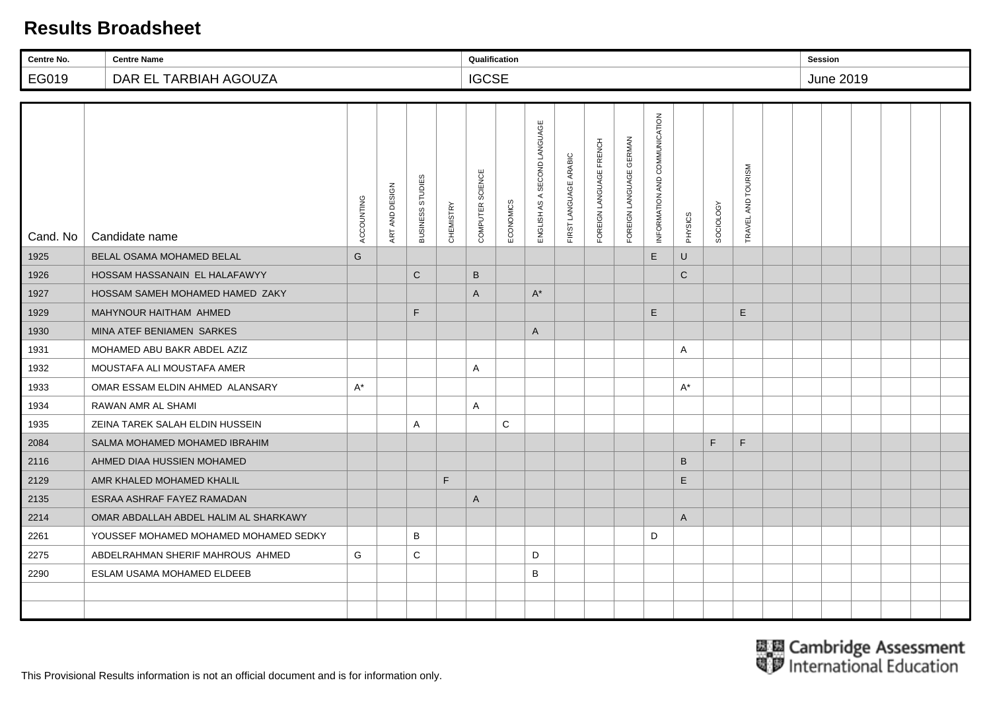| Centre No. | <b>Centre Name</b>                    |            |                |                            |           | Qualification    |             |                              |                       |                         |                         |                               |              |                  |                        | <b>Session</b> |           |  |  |
|------------|---------------------------------------|------------|----------------|----------------------------|-----------|------------------|-------------|------------------------------|-----------------------|-------------------------|-------------------------|-------------------------------|--------------|------------------|------------------------|----------------|-----------|--|--|
| EG019      | DAR EL TARBIAH AGOUZA                 |            |                |                            |           | <b>IGCSE</b>     |             |                              |                       |                         |                         |                               |              |                  |                        |                | June 2019 |  |  |
|            |                                       |            |                |                            |           |                  |             |                              |                       |                         |                         |                               |              |                  |                        |                |           |  |  |
| Cand. No   | Candidate name                        | ACCOUNTING | ART AND DESIGN | STUDIES<br><b>BUSINESS</b> | CHEMISTRY | COMPUTER SCIENCE | ECONOMICS   | ENGLISH AS A SECOND LANGUAGE | FIRST LANGUAGE ARABIC | FOREIGN LANGUAGE FRENCH | FOREIGN LANGUAGE GERMAN | INFORMATION AND COMMUNICATION | PHYSICS      | <b>SOCIOLOGY</b> | AND TOURISM<br>TRAVEL, |                |           |  |  |
| 1925       | <b>BELAL OSAMA MOHAMED BELAL</b>      | G          |                |                            |           |                  |             |                              |                       |                         |                         | E                             | U            |                  |                        |                |           |  |  |
| 1926       | HOSSAM HASSANAIN EL HALAFAWYY         |            |                | $\mathbf C$                |           | $\sf B$          |             |                              |                       |                         |                         |                               | $\mathsf C$  |                  |                        |                |           |  |  |
| 1927       | HOSSAM SAMEH MOHAMED HAMED ZAKY       |            |                |                            |           | $\mathsf{A}$     |             | $A^*$                        |                       |                         |                         |                               |              |                  |                        |                |           |  |  |
| 1929       | MAHYNOUR HAITHAM AHMED                |            |                | F.                         |           |                  |             |                              |                       |                         |                         | $\mathsf E$                   |              |                  | $\mathsf E$            |                |           |  |  |
| 1930       | MINA ATEF BENIAMEN SARKES             |            |                |                            |           |                  |             | A                            |                       |                         |                         |                               |              |                  |                        |                |           |  |  |
| 1931       | MOHAMED ABU BAKR ABDEL AZIZ           |            |                |                            |           |                  |             |                              |                       |                         |                         |                               | Α            |                  |                        |                |           |  |  |
| 1932       | MOUSTAFA ALI MOUSTAFA AMER            |            |                |                            |           | Α                |             |                              |                       |                         |                         |                               |              |                  |                        |                |           |  |  |
| 1933       | OMAR ESSAM ELDIN AHMED ALANSARY       | $A^*$      |                |                            |           |                  |             |                              |                       |                         |                         |                               | A*           |                  |                        |                |           |  |  |
| 1934       | RAWAN AMR AL SHAMI                    |            |                |                            |           | Α                |             |                              |                       |                         |                         |                               |              |                  |                        |                |           |  |  |
| 1935       | ZEINA TAREK SALAH ELDIN HUSSEIN       |            |                | $\mathsf{A}$               |           |                  | $\mathsf C$ |                              |                       |                         |                         |                               |              |                  |                        |                |           |  |  |
| 2084       | SALMA MOHAMED MOHAMED IBRAHIM         |            |                |                            |           |                  |             |                              |                       |                         |                         |                               |              | F.               | $\mathsf F$            |                |           |  |  |
| 2116       | AHMED DIAA HUSSIEN MOHAMED            |            |                |                            |           |                  |             |                              |                       |                         |                         |                               | B            |                  |                        |                |           |  |  |
| 2129       | AMR KHALED MOHAMED KHALIL             |            |                |                            | F         |                  |             |                              |                       |                         |                         |                               | E            |                  |                        |                |           |  |  |
| 2135       | ESRAA ASHRAF FAYEZ RAMADAN            |            |                |                            |           | A                |             |                              |                       |                         |                         |                               |              |                  |                        |                |           |  |  |
| 2214       | OMAR ABDALLAH ABDEL HALIM AL SHARKAWY |            |                |                            |           |                  |             |                              |                       |                         |                         |                               | $\mathsf{A}$ |                  |                        |                |           |  |  |
| 2261       | YOUSSEF MOHAMED MOHAMED MOHAMED SEDKY |            |                | B                          |           |                  |             |                              |                       |                         |                         | D                             |              |                  |                        |                |           |  |  |
| 2275       | ABDELRAHMAN SHERIF MAHROUS AHMED      | G          |                | C                          |           |                  |             | D                            |                       |                         |                         |                               |              |                  |                        |                |           |  |  |
| 2290       | ESLAM USAMA MOHAMED ELDEEB            |            |                |                            |           |                  |             | В                            |                       |                         |                         |                               |              |                  |                        |                |           |  |  |
|            |                                       |            |                |                            |           |                  |             |                              |                       |                         |                         |                               |              |                  |                        |                |           |  |  |
|            |                                       |            |                |                            |           |                  |             |                              |                       |                         |                         |                               |              |                  |                        |                |           |  |  |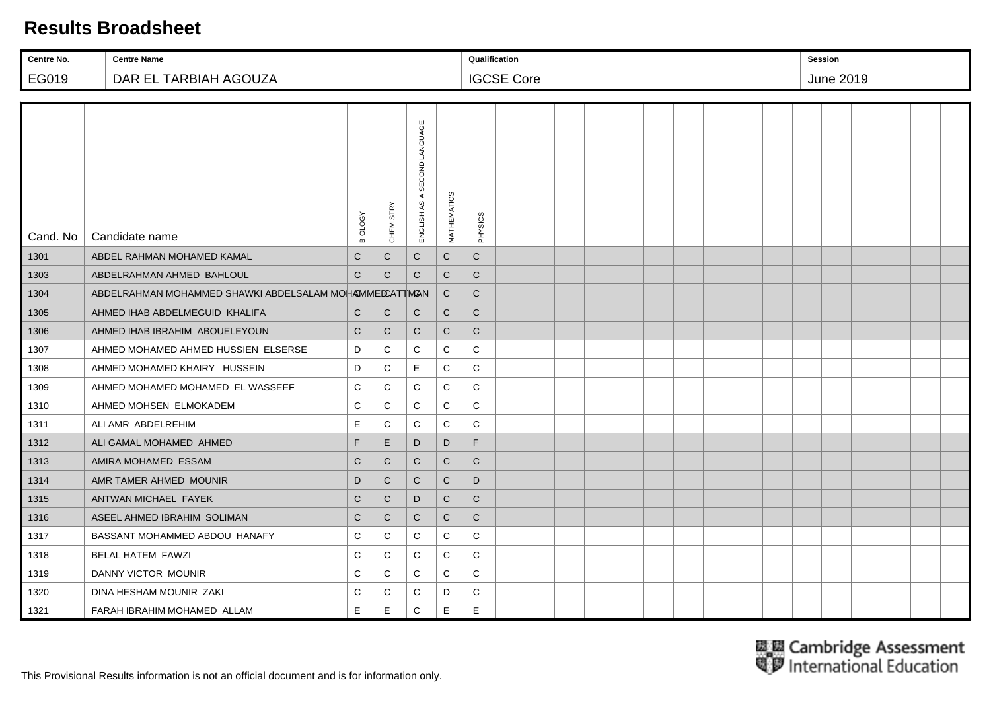| Centre No. | <b>Centre Name</b>                                     |              |                  |                              |              | Qualification |                   |  |  |  |  |  | <b>Session</b>   |  |  |
|------------|--------------------------------------------------------|--------------|------------------|------------------------------|--------------|---------------|-------------------|--|--|--|--|--|------------------|--|--|
| EG019      | DAR EL TARBIAH AGOUZA                                  |              |                  |                              |              |               | <b>IGCSE Core</b> |  |  |  |  |  | <b>June 2019</b> |  |  |
|            |                                                        |              |                  |                              |              |               |                   |  |  |  |  |  |                  |  |  |
| Cand. No   | Candidate name                                         | BIOLOGY      | <b>CHEMISTRY</b> | ENGLISH AS A SECOND LANGUAGE | MATHEMATICS  | PHYSICS       |                   |  |  |  |  |  |                  |  |  |
| 1301       | ABDEL RAHMAN MOHAMED KAMAL                             | $\mathsf{C}$ | $\mathsf C$      | $\mathsf{C}$                 | $\mathbf C$  | ${\bf C}$     |                   |  |  |  |  |  |                  |  |  |
| 1303       | ABDELRAHMAN AHMED BAHLOUL                              | $\mathbf C$  | C                | ${\bf C}$                    | $\mathbf C$  | $\mathbf C$   |                   |  |  |  |  |  |                  |  |  |
| 1304       | ABDELRAHMAN MOHAMMED SHAWKI ABDELSALAM MOHAMMEDCATTMAN |              |                  |                              | $\mathsf{C}$ | $\mathbf C$   |                   |  |  |  |  |  |                  |  |  |
| 1305       | AHMED IHAB ABDELMEGUID KHALIFA                         | $\mathsf{C}$ | $\mathsf{C}$     | $\mathsf{C}$                 | $\mathsf{C}$ | $\mathsf C$   |                   |  |  |  |  |  |                  |  |  |
| 1306       | AHMED IHAB IBRAHIM ABOUELEYOUN                         | $\mathsf{C}$ | $\mathsf{C}$     | $\mathsf{C}$                 | $\mathsf{C}$ | $\mathbf C$   |                   |  |  |  |  |  |                  |  |  |
| 1307       | AHMED MOHAMED AHMED HUSSIEN ELSERSE                    | D            | C                | C                            | C            | C             |                   |  |  |  |  |  |                  |  |  |
| 1308       | AHMED MOHAMED KHAIRY HUSSEIN                           | D            | C                | E                            | C            | C             |                   |  |  |  |  |  |                  |  |  |
| 1309       | AHMED MOHAMED MOHAMED EL WASSEEF                       | C            | $\mathbf C$      | C                            | C            | $\mathsf C$   |                   |  |  |  |  |  |                  |  |  |
| 1310       | AHMED MOHSEN ELMOKADEM                                 | C            | C                | C                            | C            | C             |                   |  |  |  |  |  |                  |  |  |
| 1311       | ALI AMR ABDELREHIM                                     | Е            | C                | C                            | C            | C             |                   |  |  |  |  |  |                  |  |  |
| 1312       | ALI GAMAL MOHAMED AHMED                                | $\mathsf F$  | E                | D                            | D            | F             |                   |  |  |  |  |  |                  |  |  |
| 1313       | AMIRA MOHAMED ESSAM                                    | C            | C                | $\mathsf{C}$                 | $\mathsf{C}$ | $\mathsf{C}$  |                   |  |  |  |  |  |                  |  |  |
| 1314       | AMR TAMER AHMED MOUNIR                                 | D            | $\mathsf{C}$     | $\mathsf{C}$                 | $\mathsf{C}$ | D             |                   |  |  |  |  |  |                  |  |  |
| 1315       | ANTWAN MICHAEL FAYEK                                   | $\mathsf{C}$ | C                | D                            | $\mathsf{C}$ | $\mathsf{C}$  |                   |  |  |  |  |  |                  |  |  |
| 1316       | ASEEL AHMED IBRAHIM SOLIMAN                            | C            | C                | $\mathsf{C}$                 | $\mathsf{C}$ | C             |                   |  |  |  |  |  |                  |  |  |
| 1317       | BASSANT MOHAMMED ABDOU HANAFY                          | C            | C                | C                            | C            | $\mathbf C$   |                   |  |  |  |  |  |                  |  |  |
| 1318       | <b>BELAL HATEM FAWZI</b>                               | C            | C                | C                            | C            | ${\bf C}$     |                   |  |  |  |  |  |                  |  |  |
| 1319       | DANNY VICTOR MOUNIR                                    | C            | C                | C                            | C            | $\mathbf C$   |                   |  |  |  |  |  |                  |  |  |
| 1320       | DINA HESHAM MOUNIR ZAKI                                | C            | C                | C                            | D            | C             |                   |  |  |  |  |  |                  |  |  |
| 1321       | FARAH IBRAHIM MOHAMED ALLAM                            | E            | E                | $\mathbf C$                  | E            | $\mathsf E$   |                   |  |  |  |  |  |                  |  |  |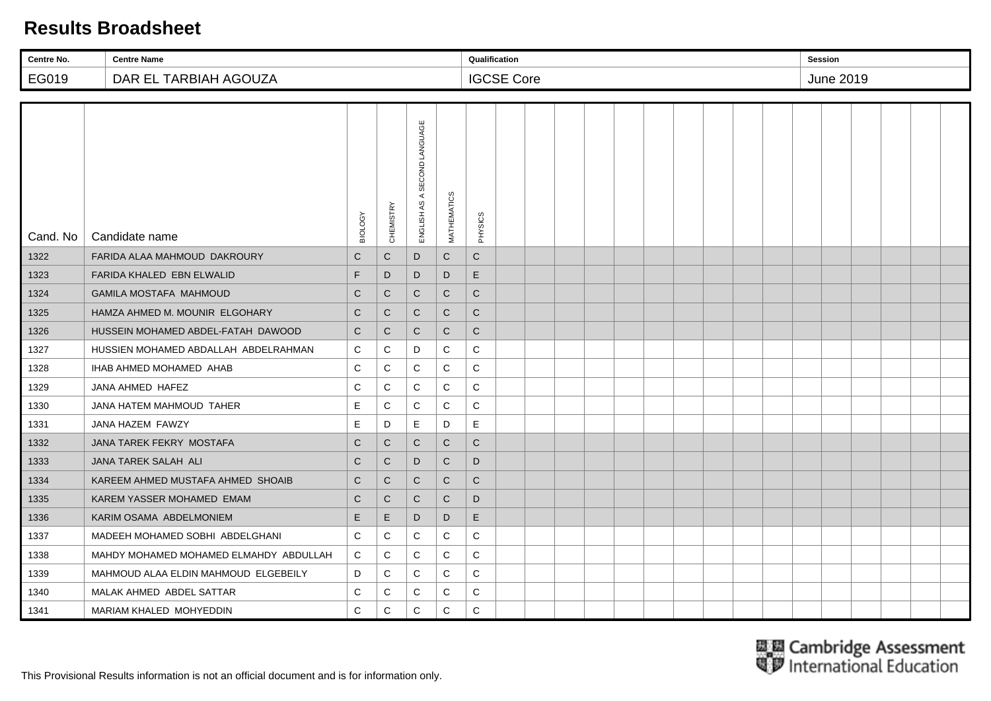| Centre No.                     | <b>Centre Name</b>                     |              | Qualification    |                              |              |              |                   |  |  |  |  |  |  | <b>Session</b> |  |  |  |                  |  |  |  |  |  |
|--------------------------------|----------------------------------------|--------------|------------------|------------------------------|--------------|--------------|-------------------|--|--|--|--|--|--|----------------|--|--|--|------------------|--|--|--|--|--|
| DAR EL TARBIAH AGOUZA<br>EG019 |                                        |              |                  |                              |              |              | <b>IGCSE Core</b> |  |  |  |  |  |  |                |  |  |  | <b>June 2019</b> |  |  |  |  |  |
|                                |                                        |              |                  |                              |              |              |                   |  |  |  |  |  |  |                |  |  |  |                  |  |  |  |  |  |
| Cand. No                       | Candidate name                         | BIOLOGY      | <b>CHEMISTRY</b> | ENGLISH AS A SECOND LANGUAGE | MATHEMATICS  | PHYSICS      |                   |  |  |  |  |  |  |                |  |  |  |                  |  |  |  |  |  |
| 1322                           | FARIDA ALAA MAHMOUD DAKROURY           | $\mathsf{C}$ | $\mathsf{C}$     | D                            | $\mathsf{C}$ | $\mathsf{C}$ |                   |  |  |  |  |  |  |                |  |  |  |                  |  |  |  |  |  |
| 1323                           | FARIDA KHALED EBN ELWALID              | F            | D                | D                            | D            | E            |                   |  |  |  |  |  |  |                |  |  |  |                  |  |  |  |  |  |
| 1324                           | GAMILA MOSTAFA MAHMOUD                 | $\mathsf{C}$ | $\mathsf{C}$     | $\mathsf{C}$                 | $\mathsf{C}$ | $\mathbf C$  |                   |  |  |  |  |  |  |                |  |  |  |                  |  |  |  |  |  |
| 1325                           | HAMZA AHMED M. MOUNIR ELGOHARY         | $\mathsf{C}$ | $\mathsf{C}$     | $\mathsf{C}$                 | $\mathsf{C}$ | $\mathsf{C}$ |                   |  |  |  |  |  |  |                |  |  |  |                  |  |  |  |  |  |
| 1326                           | HUSSEIN MOHAMED ABDEL-FATAH DAWOOD     | $\mathsf{C}$ | C                | $\mathsf{C}$                 | C            | $\mathsf{C}$ |                   |  |  |  |  |  |  |                |  |  |  |                  |  |  |  |  |  |
| 1327                           | HUSSIEN MOHAMED ABDALLAH ABDELRAHMAN   | C            | C                | D                            | C            | С            |                   |  |  |  |  |  |  |                |  |  |  |                  |  |  |  |  |  |
| 1328                           | IHAB AHMED MOHAMED AHAB                | C            | C                | C                            | C            | $\mathsf C$  |                   |  |  |  |  |  |  |                |  |  |  |                  |  |  |  |  |  |
| 1329                           | JANA AHMED HAFEZ                       | C            | C                | C                            | C            | $\mathsf C$  |                   |  |  |  |  |  |  |                |  |  |  |                  |  |  |  |  |  |
| 1330                           | JANA HATEM MAHMOUD TAHER               | E            | C                | C                            | C            | ${\bf C}$    |                   |  |  |  |  |  |  |                |  |  |  |                  |  |  |  |  |  |
| 1331                           | JANA HAZEM FAWZY                       | Е            | D                | E                            | D            | E.           |                   |  |  |  |  |  |  |                |  |  |  |                  |  |  |  |  |  |
| 1332                           | JANA TAREK FEKRY MOSTAFA               | $\mathsf{C}$ | C                | $\mathsf{C}$                 | $\mathsf{C}$ | $\mathsf{C}$ |                   |  |  |  |  |  |  |                |  |  |  |                  |  |  |  |  |  |
| 1333                           | JANA TAREK SALAH ALI                   | $\mathsf{C}$ | $\mathsf{C}$     | D                            | $\mathsf{C}$ | D            |                   |  |  |  |  |  |  |                |  |  |  |                  |  |  |  |  |  |
| 1334                           | KAREEM AHMED MUSTAFA AHMED SHOAIB      | ${\bf C}$    | $\mathsf{C}$     | $\mathsf{C}$                 | $\mathsf{C}$ | $\mathsf{C}$ |                   |  |  |  |  |  |  |                |  |  |  |                  |  |  |  |  |  |
| 1335                           | KAREM YASSER MOHAMED EMAM              | $\mathsf{C}$ | C                | $\mathsf{C}$                 | $\mathsf{C}$ | D            |                   |  |  |  |  |  |  |                |  |  |  |                  |  |  |  |  |  |
| 1336                           | KARIM OSAMA ABDELMONIEM                | E            | E.               | D                            | D            | E            |                   |  |  |  |  |  |  |                |  |  |  |                  |  |  |  |  |  |
| 1337                           | MADEEH MOHAMED SOBHI ABDELGHANI        | C            | C                | C                            | C            | ${\bf C}$    |                   |  |  |  |  |  |  |                |  |  |  |                  |  |  |  |  |  |
| 1338                           | MAHDY MOHAMED MOHAMED ELMAHDY ABDULLAH | C            | C                | C                            | C            | С            |                   |  |  |  |  |  |  |                |  |  |  |                  |  |  |  |  |  |
| 1339                           | MAHMOUD ALAA ELDIN MAHMOUD ELGEBEILY   | D            | C                | C                            | C            | $\mathbf C$  |                   |  |  |  |  |  |  |                |  |  |  |                  |  |  |  |  |  |
| 1340                           | MALAK AHMED ABDEL SATTAR               | C            | C                | C                            | C            | C            |                   |  |  |  |  |  |  |                |  |  |  |                  |  |  |  |  |  |
| 1341                           | MARIAM KHALED MOHYEDDIN                | C            | $\mathbf C$      | $\mathbf C$                  | C            | $\mathbf C$  |                   |  |  |  |  |  |  |                |  |  |  |                  |  |  |  |  |  |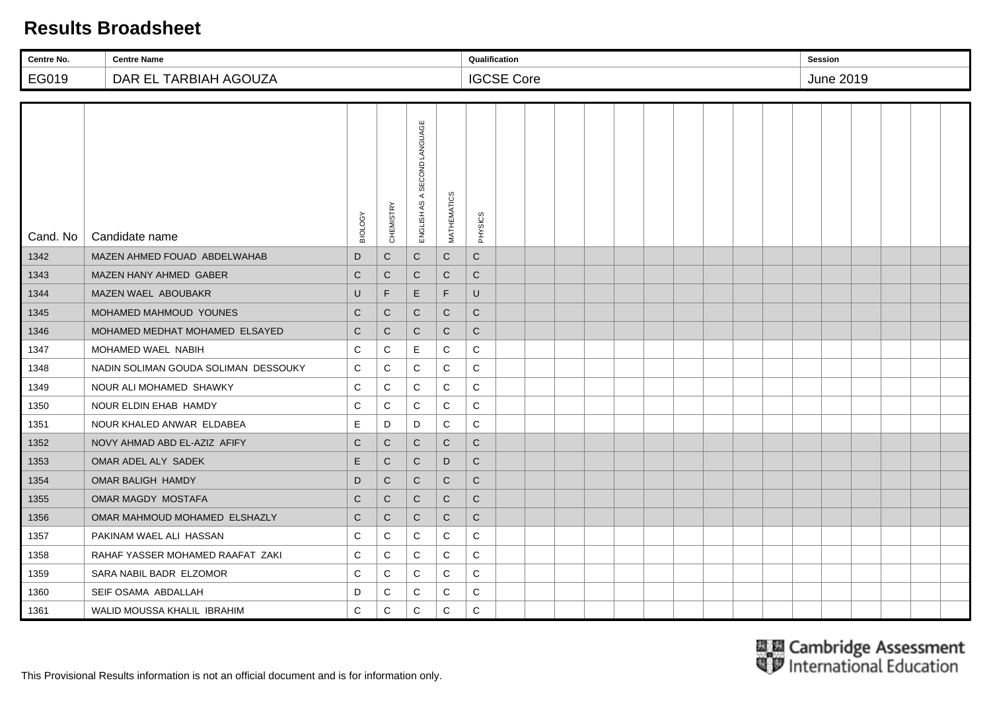| Centre No.                     | <b>Centre Name</b>                   |              | Qualification    |                                 |              |              |                   |  |  |  |  |  |  |  | <b>Session</b> |  |  |  |                  |  |  |  |  |  |  |
|--------------------------------|--------------------------------------|--------------|------------------|---------------------------------|--------------|--------------|-------------------|--|--|--|--|--|--|--|----------------|--|--|--|------------------|--|--|--|--|--|--|
| EG019<br>DAR EL TARBIAH AGOUZA |                                      |              |                  |                                 |              |              | <b>IGCSE Core</b> |  |  |  |  |  |  |  |                |  |  |  | <b>June 2019</b> |  |  |  |  |  |  |
|                                |                                      |              |                  |                                 |              |              |                   |  |  |  |  |  |  |  |                |  |  |  |                  |  |  |  |  |  |  |
| Cand. No                       | Candidate name                       | BIOLOGY      | <b>CHEMISTRY</b> | A SECOND LANGUAGE<br>ENGLISH AS | MATHEMATICS  | PHYSICS      |                   |  |  |  |  |  |  |  |                |  |  |  |                  |  |  |  |  |  |  |
| 1342                           | MAZEN AHMED FOUAD ABDELWAHAB         | D            | $\mathsf{C}$     | $\mathsf{C}$                    | $\mathsf{C}$ | $\mathsf{C}$ |                   |  |  |  |  |  |  |  |                |  |  |  |                  |  |  |  |  |  |  |
| 1343                           | MAZEN HANY AHMED GABER               | $\mathsf C$  | $\mathbf C$      | ${\bf C}$                       | $\mathbf C$  | $\mathsf C$  |                   |  |  |  |  |  |  |  |                |  |  |  |                  |  |  |  |  |  |  |
| 1344                           | MAZEN WAEL ABOUBAKR                  | U            | F                | E                               | F            | U            |                   |  |  |  |  |  |  |  |                |  |  |  |                  |  |  |  |  |  |  |
| 1345                           | MOHAMED MAHMOUD YOUNES               | $\mathsf{C}$ | $\mathsf{C}$     | $\mathsf{C}$                    | $\mathsf{C}$ | $\mathsf{C}$ |                   |  |  |  |  |  |  |  |                |  |  |  |                  |  |  |  |  |  |  |
| 1346                           | MOHAMED MEDHAT MOHAMED ELSAYED       | C            | $\mathsf{C}$     | $\mathsf{C}$                    | $\mathsf{C}$ | $\mathsf{C}$ |                   |  |  |  |  |  |  |  |                |  |  |  |                  |  |  |  |  |  |  |
| 1347                           | MOHAMED WAEL NABIH                   | C            | C                | E                               | C            | C            |                   |  |  |  |  |  |  |  |                |  |  |  |                  |  |  |  |  |  |  |
| 1348                           | NADIN SOLIMAN GOUDA SOLIMAN DESSOUKY | C            | C                | C                               | C            | $\mathbf C$  |                   |  |  |  |  |  |  |  |                |  |  |  |                  |  |  |  |  |  |  |
| 1349                           | NOUR ALI MOHAMED SHAWKY              | C            | C                | C                               | C            | $\mathbf C$  |                   |  |  |  |  |  |  |  |                |  |  |  |                  |  |  |  |  |  |  |
| 1350                           | NOUR ELDIN EHAB HAMDY                | C            | C                | C                               | C            | $\mathbf C$  |                   |  |  |  |  |  |  |  |                |  |  |  |                  |  |  |  |  |  |  |
| 1351                           | NOUR KHALED ANWAR ELDABEA            | Ε            | D                | D                               | C            | C            |                   |  |  |  |  |  |  |  |                |  |  |  |                  |  |  |  |  |  |  |
| 1352                           | NOVY AHMAD ABD EL-AZIZ AFIFY         | C            | $\mathsf{C}$     | $\mathsf{C}$                    | $\mathsf{C}$ | $\mathsf{C}$ |                   |  |  |  |  |  |  |  |                |  |  |  |                  |  |  |  |  |  |  |
| 1353                           | OMAR ADEL ALY SADEK                  | E            | $\mathsf{C}$     | $\mathsf{C}$                    | D            | $\mathsf{C}$ |                   |  |  |  |  |  |  |  |                |  |  |  |                  |  |  |  |  |  |  |
| 1354                           | OMAR BALIGH HAMDY                    | D            | $\mathsf{C}$     | $\mathsf C$                     | $\mathsf{C}$ | $\mathsf{C}$ |                   |  |  |  |  |  |  |  |                |  |  |  |                  |  |  |  |  |  |  |
| 1355                           | OMAR MAGDY MOSTAFA                   | $\mathsf C$  | C                | $\mathsf C$                     | $\mathsf{C}$ | $\mathsf{C}$ |                   |  |  |  |  |  |  |  |                |  |  |  |                  |  |  |  |  |  |  |
| 1356                           | OMAR MAHMOUD MOHAMED ELSHAZLY        | C            | C                | $\mathsf{C}$                    | $\mathsf{C}$ | $\mathsf{C}$ |                   |  |  |  |  |  |  |  |                |  |  |  |                  |  |  |  |  |  |  |
| 1357                           | PAKINAM WAEL ALI HASSAN              | C            | C                | C                               | C            | $\mathbf C$  |                   |  |  |  |  |  |  |  |                |  |  |  |                  |  |  |  |  |  |  |
| 1358                           | RAHAF YASSER MOHAMED RAAFAT ZAKI     | C            | C                | C                               | C            | C            |                   |  |  |  |  |  |  |  |                |  |  |  |                  |  |  |  |  |  |  |
| 1359                           | SARA NABIL BADR ELZOMOR              | C            | C                | ${\bf C}$                       | C            | $\mathbf C$  |                   |  |  |  |  |  |  |  |                |  |  |  |                  |  |  |  |  |  |  |
| 1360                           | SEIF OSAMA ABDALLAH                  | D            | C                | C                               | C            | C            |                   |  |  |  |  |  |  |  |                |  |  |  |                  |  |  |  |  |  |  |
| 1361                           | WALID MOUSSA KHALIL IBRAHIM          | C            | $\mathbf C$      | $\mathbf C$                     | $\mathbf C$  | $\mathbf C$  |                   |  |  |  |  |  |  |  |                |  |  |  |                  |  |  |  |  |  |  |